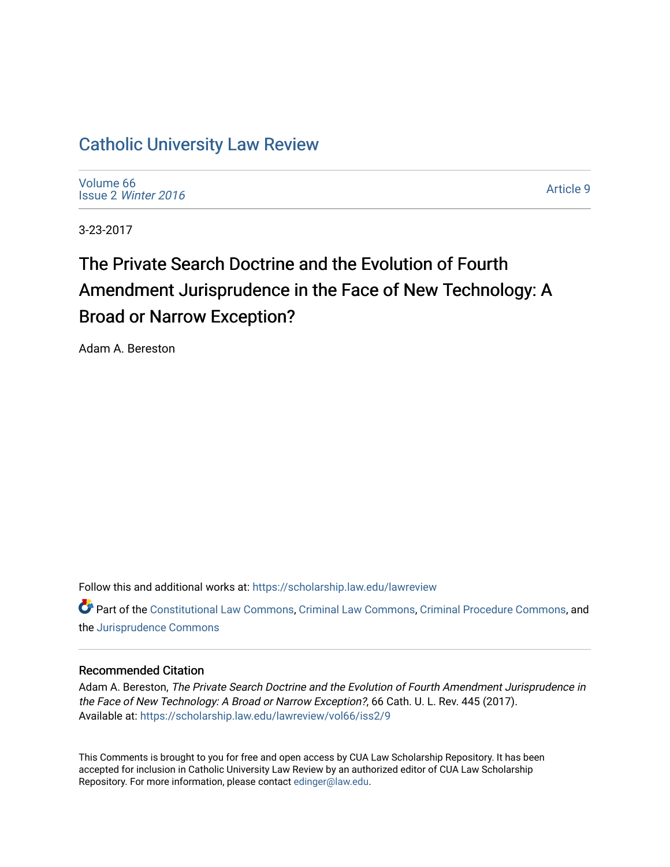# [Catholic University Law Review](https://scholarship.law.edu/lawreview)

[Volume 66](https://scholarship.law.edu/lawreview/vol66) Issue 2 [Winter 2016](https://scholarship.law.edu/lawreview/vol66/iss2) 

[Article 9](https://scholarship.law.edu/lawreview/vol66/iss2/9) 

3-23-2017

# The Private Search Doctrine and the Evolution of Fourth Amendment Jurisprudence in the Face of New Technology: A Broad or Narrow Exception?

Adam A. Bereston

Follow this and additional works at: [https://scholarship.law.edu/lawreview](https://scholarship.law.edu/lawreview?utm_source=scholarship.law.edu%2Flawreview%2Fvol66%2Fiss2%2F9&utm_medium=PDF&utm_campaign=PDFCoverPages)

Part of the [Constitutional Law Commons,](http://network.bepress.com/hgg/discipline/589?utm_source=scholarship.law.edu%2Flawreview%2Fvol66%2Fiss2%2F9&utm_medium=PDF&utm_campaign=PDFCoverPages) [Criminal Law Commons,](http://network.bepress.com/hgg/discipline/912?utm_source=scholarship.law.edu%2Flawreview%2Fvol66%2Fiss2%2F9&utm_medium=PDF&utm_campaign=PDFCoverPages) [Criminal Procedure Commons](http://network.bepress.com/hgg/discipline/1073?utm_source=scholarship.law.edu%2Flawreview%2Fvol66%2Fiss2%2F9&utm_medium=PDF&utm_campaign=PDFCoverPages), and the [Jurisprudence Commons](http://network.bepress.com/hgg/discipline/610?utm_source=scholarship.law.edu%2Flawreview%2Fvol66%2Fiss2%2F9&utm_medium=PDF&utm_campaign=PDFCoverPages) 

# Recommended Citation

Adam A. Bereston, The Private Search Doctrine and the Evolution of Fourth Amendment Jurisprudence in the Face of New Technology: A Broad or Narrow Exception?, 66 Cath. U. L. Rev. 445 (2017). Available at: [https://scholarship.law.edu/lawreview/vol66/iss2/9](https://scholarship.law.edu/lawreview/vol66/iss2/9?utm_source=scholarship.law.edu%2Flawreview%2Fvol66%2Fiss2%2F9&utm_medium=PDF&utm_campaign=PDFCoverPages)

This Comments is brought to you for free and open access by CUA Law Scholarship Repository. It has been accepted for inclusion in Catholic University Law Review by an authorized editor of CUA Law Scholarship Repository. For more information, please contact [edinger@law.edu.](mailto:edinger@law.edu)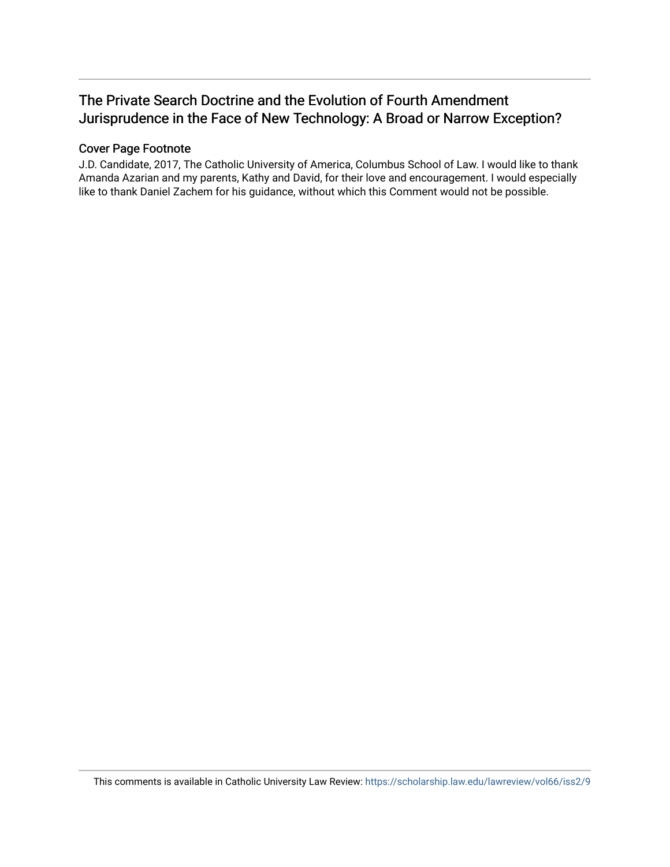# The Private Search Doctrine and the Evolution of Fourth Amendment Jurisprudence in the Face of New Technology: A Broad or Narrow Exception?

# Cover Page Footnote

J.D. Candidate, 2017, The Catholic University of America, Columbus School of Law. I would like to thank Amanda Azarian and my parents, Kathy and David, for their love and encouragement. I would especially like to thank Daniel Zachem for his guidance, without which this Comment would not be possible.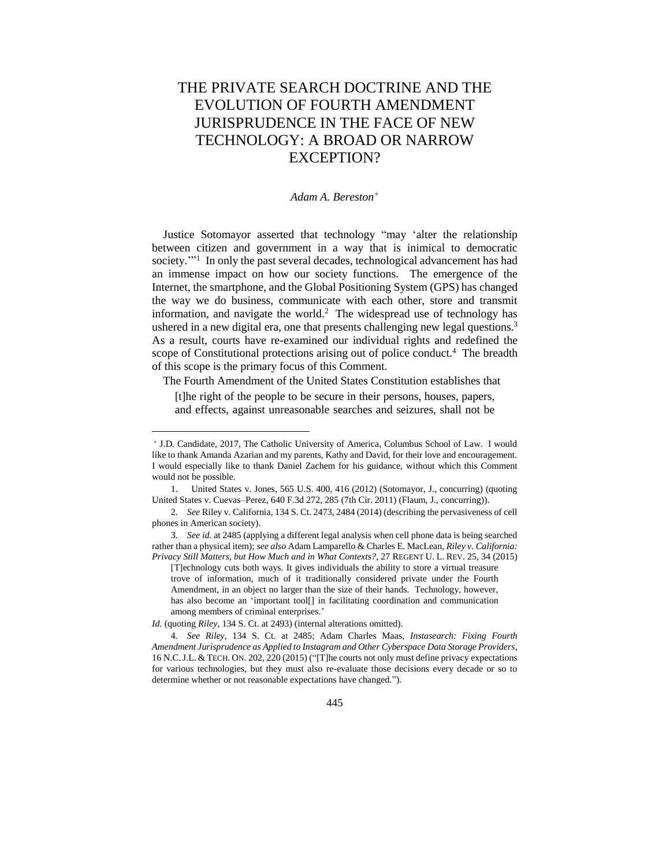# THE PRIVATE SEARCH DOCTRINE AND THE EVOLUTION OF FOURTH AMENDMENT JURISPRUDENCE IN THE FACE OF NEW TECHNOLOGY: A BROAD OR NARROW EXCEPTION?

#### *Adam A. Bereston<sup>+</sup>*

Justice Sotomayor asserted that technology "may 'alter the relationship between citizen and government in a way that is inimical to democratic society."<sup>1</sup> In only the past several decades, technological advancement has had an immense impact on how our society functions. The emergence of the Internet, the smartphone, and the Global Positioning System (GPS) has changed the way we do business, communicate with each other, store and transmit information, and navigate the world.<sup>2</sup> The widespread use of technology has ushered in a new digital era, one that presents challenging new legal questions.<sup>3</sup> As a result, courts have re-examined our individual rights and redefined the scope of Constitutional protections arising out of police conduct.<sup>4</sup> The breadth of this scope is the primary focus of this Comment.

The Fourth Amendment of the United States Constitution establishes that

[t]he right of the people to be secure in their persons, houses, papers, and effects, against unreasonable searches and seizures, shall not be

<sup>+</sup> J.D. Candidate, 2017, The Catholic University of America, Columbus School of Law. I would like to thank Amanda Azarian and my parents, Kathy and David, for their love and encouragement. I would especially like to thank Daniel Zachem for his guidance, without which this Comment would not be possible.

<sup>1.</sup> United States v. Jones, 565 U.S. 400, 416 (2012) (Sotomayor, J., concurring) (quoting United States v. Cuevas–Perez, 640 F.3d 272, 285 (7th Cir. 2011) (Flaum, J., concurring)).

<sup>2</sup>*. See* Riley v. California, 134 S. Ct. 2473, 2484 (2014) (describing the pervasiveness of cell phones in American society).

<sup>3</sup>*. See id.* at 2485 (applying a different legal analysis when cell phone data is being searched rather than a physical item); *see also* Adam Lamparello & Charles E. MacLean, *Riley v. California: Privacy Still Matters, but How Much and in What Contexts?*, 27 REGENT U. L. REV. 25, 34 (2015)

<sup>[</sup>T]echnology cuts both ways. It gives individuals the ability to store a virtual treasure trove of information, much of it traditionally considered private under the Fourth Amendment, in an object no larger than the size of their hands. Technology, however, has also become an 'important tool[] in facilitating coordination and communication among members of criminal enterprises.'

*Id.* (quoting *Riley*, 134 S. Ct. at 2493) (internal alterations omitted).

<sup>4</sup>*. See Riley*, 134 S. Ct. at 2485; Adam Charles Maas, *Instasearch: Fixing Fourth Amendment Jurisprudence as Applied to Instagram and Other Cyberspace Data Storage Providers*, 16 N.C.J.L. & TECH. ON. 202, 220 (2015) ("[T]he courts not only must define privacy expectations for various technologies, but they must also re-evaluate those decisions every decade or so to determine whether or not reasonable expectations have changed.").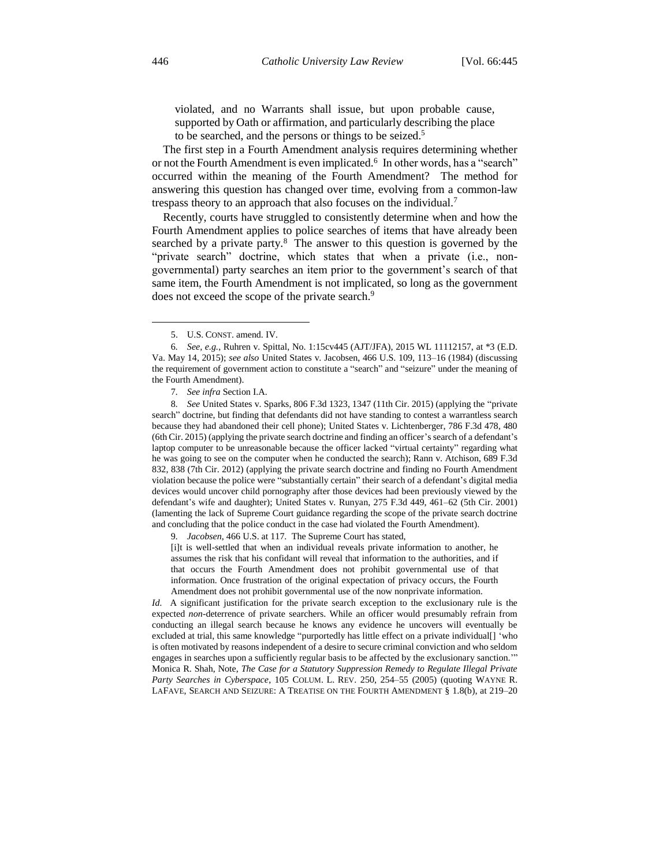violated, and no Warrants shall issue, but upon probable cause, supported by Oath or affirmation, and particularly describing the place to be searched, and the persons or things to be seized.<sup>5</sup>

The first step in a Fourth Amendment analysis requires determining whether or not the Fourth Amendment is even implicated.<sup>6</sup> In other words, has a "search" occurred within the meaning of the Fourth Amendment? The method for answering this question has changed over time, evolving from a common-law trespass theory to an approach that also focuses on the individual.<sup>7</sup>

Recently, courts have struggled to consistently determine when and how the Fourth Amendment applies to police searches of items that have already been searched by a private party.<sup>8</sup> The answer to this question is governed by the "private search" doctrine, which states that when a private (i.e., nongovernmental) party searches an item prior to the government's search of that same item, the Fourth Amendment is not implicated, so long as the government does not exceed the scope of the private search.<sup>9</sup>

8*. See* United States v. Sparks, 806 F.3d 1323, 1347 (11th Cir. 2015) (applying the "private search" doctrine, but finding that defendants did not have standing to contest a warrantless search because they had abandoned their cell phone); United States v. Lichtenberger, 786 F.3d 478, 480 (6th Cir. 2015) (applying the private search doctrine and finding an officer's search of a defendant's laptop computer to be unreasonable because the officer lacked "virtual certainty" regarding what he was going to see on the computer when he conducted the search); Rann v. Atchison, 689 F.3d 832, 838 (7th Cir. 2012) (applying the private search doctrine and finding no Fourth Amendment violation because the police were "substantially certain" their search of a defendant's digital media devices would uncover child pornography after those devices had been previously viewed by the defendant's wife and daughter); United States v. Runyan, 275 F.3d 449, 461–62 (5th Cir. 2001) (lamenting the lack of Supreme Court guidance regarding the scope of the private search doctrine and concluding that the police conduct in the case had violated the Fourth Amendment).

9*. Jacobsen*, 466 U.S. at 117. The Supreme Court has stated,

[i]t is well-settled that when an individual reveals private information to another, he assumes the risk that his confidant will reveal that information to the authorities, and if that occurs the Fourth Amendment does not prohibit governmental use of that information. Once frustration of the original expectation of privacy occurs, the Fourth Amendment does not prohibit governmental use of the now nonprivate information.

*Id.* A significant justification for the private search exception to the exclusionary rule is the expected *non*-deterrence of private searchers. While an officer would presumably refrain from conducting an illegal search because he knows any evidence he uncovers will eventually be excluded at trial, this same knowledge "purportedly has little effect on a private individual[] 'who is often motivated by reasons independent of a desire to secure criminal conviction and who seldom engages in searches upon a sufficiently regular basis to be affected by the exclusionary sanction.'" Monica R. Shah, Note, *The Case for a Statutory Suppression Remedy to Regulate Illegal Private Party Searches in Cyberspace*, 105 COLUM. L. REV. 250, 254–55 (2005) (quoting WAYNE R. LAFAVE, SEARCH AND SEIZURE: A TREATISE ON THE FOURTH AMENDMENT § 1.8(b), at 219–20

<sup>5.</sup> U.S. CONST. amend. IV.

<sup>6</sup>*. See, e.g.*, Ruhren v. Spittal, No. 1:15cv445 (AJT/JFA), 2015 WL 11112157, at \*3 (E.D. Va. May 14, 2015); *see also* United States v. Jacobsen, 466 U.S. 109, 113–16 (1984) (discussing the requirement of government action to constitute a "search" and "seizure" under the meaning of the Fourth Amendment).

<sup>7</sup>*. See infra* Section I.A.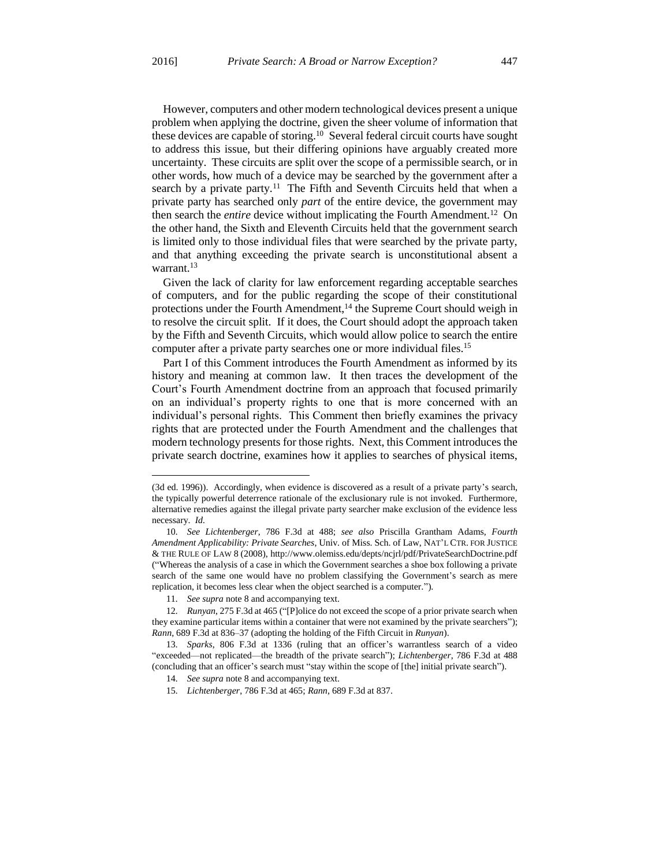$\overline{a}$ 

However, computers and other modern technological devices present a unique problem when applying the doctrine, given the sheer volume of information that these devices are capable of storing.<sup>10</sup> Several federal circuit courts have sought to address this issue, but their differing opinions have arguably created more uncertainty. These circuits are split over the scope of a permissible search, or in other words, how much of a device may be searched by the government after a search by a private party.<sup>11</sup> The Fifth and Seventh Circuits held that when a private party has searched only *part* of the entire device, the government may then search the *entire* device without implicating the Fourth Amendment.<sup>12</sup> On the other hand, the Sixth and Eleventh Circuits held that the government search is limited only to those individual files that were searched by the private party, and that anything exceeding the private search is unconstitutional absent a warrant.<sup>13</sup>

Given the lack of clarity for law enforcement regarding acceptable searches of computers, and for the public regarding the scope of their constitutional protections under the Fourth Amendment,<sup>14</sup> the Supreme Court should weigh in to resolve the circuit split. If it does, the Court should adopt the approach taken by the Fifth and Seventh Circuits, which would allow police to search the entire computer after a private party searches one or more individual files.<sup>15</sup>

Part I of this Comment introduces the Fourth Amendment as informed by its history and meaning at common law. It then traces the development of the Court's Fourth Amendment doctrine from an approach that focused primarily on an individual's property rights to one that is more concerned with an individual's personal rights. This Comment then briefly examines the privacy rights that are protected under the Fourth Amendment and the challenges that modern technology presents for those rights. Next, this Comment introduces the private search doctrine, examines how it applies to searches of physical items,

<sup>(3</sup>d ed. 1996)). Accordingly, when evidence is discovered as a result of a private party's search, the typically powerful deterrence rationale of the exclusionary rule is not invoked. Furthermore, alternative remedies against the illegal private party searcher make exclusion of the evidence less necessary. *Id.*

<sup>10</sup>*. See Lichtenberger*, 786 F.3d at 488; *see also* Priscilla Grantham Adams, *Fourth Amendment Applicability: Private Searches*, Univ. of Miss. Sch. of Law, NAT'L CTR. FOR JUSTICE & THE RULE OF LAW 8 (2008), http://www.olemiss.edu/depts/ncjrl/pdf/PrivateSearchDoctrine.pdf ("Whereas the analysis of a case in which the Government searches a shoe box following a private search of the same one would have no problem classifying the Government's search as mere replication, it becomes less clear when the object searched is a computer.").

<sup>11</sup>*. See supra* note 8 and accompanying text.

<sup>12</sup>*. Runyan*, 275 F.3d at 465 ("[P]olice do not exceed the scope of a prior private search when they examine particular items within a container that were not examined by the private searchers"); *Rann*, 689 F.3d at 836–37 (adopting the holding of the Fifth Circuit in *Runyan*).

<sup>13</sup>*. Sparks*, 806 F.3d at 1336 (ruling that an officer's warrantless search of a video "exceeded—not replicated—the breadth of the private search"); *Lichtenberger*, 786 F.3d at 488 (concluding that an officer's search must "stay within the scope of [the] initial private search").

<sup>14</sup>*. See supra* note 8 and accompanying text.

<sup>15</sup>*. Lichtenberger*, 786 F.3d at 465; *Rann*, 689 F.3d at 837.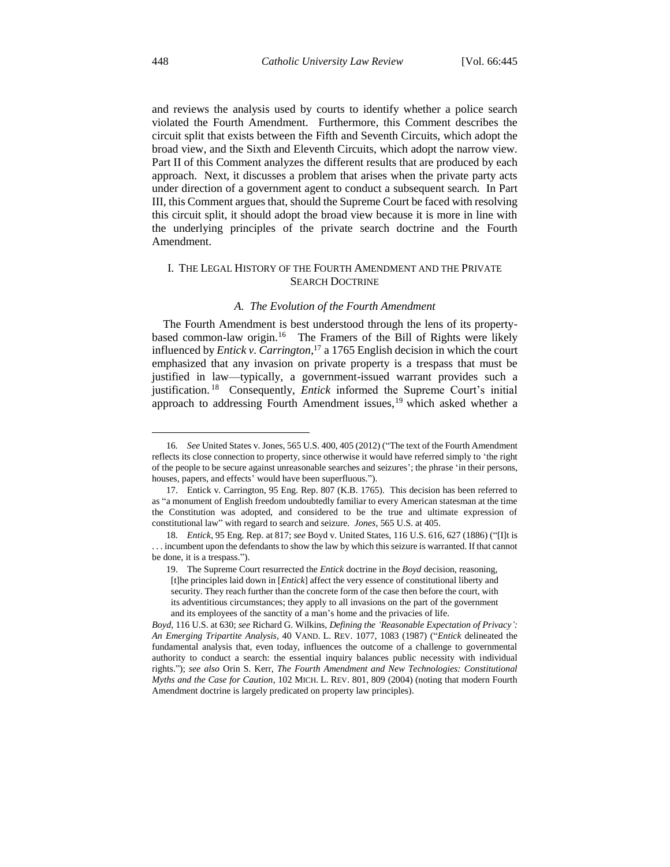and reviews the analysis used by courts to identify whether a police search violated the Fourth Amendment. Furthermore, this Comment describes the circuit split that exists between the Fifth and Seventh Circuits, which adopt the broad view, and the Sixth and Eleventh Circuits, which adopt the narrow view. Part II of this Comment analyzes the different results that are produced by each approach. Next, it discusses a problem that arises when the private party acts under direction of a government agent to conduct a subsequent search. In Part III, this Comment argues that, should the Supreme Court be faced with resolving this circuit split, it should adopt the broad view because it is more in line with the underlying principles of the private search doctrine and the Fourth Amendment.

# I. THE LEGAL HISTORY OF THE FOURTH AMENDMENT AND THE PRIVATE SEARCH DOCTRINE

# *A. The Evolution of the Fourth Amendment*

The Fourth Amendment is best understood through the lens of its propertybased common-law origin.<sup>16</sup> The Framers of the Bill of Rights were likely influenced by *Entick v. Carrington*, <sup>17</sup> a 1765 English decision in which the court emphasized that any invasion on private property is a trespass that must be justified in law—typically, a government-issued warrant provides such a justification. <sup>18</sup> Consequently, *Entick* informed the Supreme Court's initial approach to addressing Fourth Amendment issues, <sup>19</sup> which asked whether a

<sup>16</sup>*. See* United States v. Jones, 565 U.S. 400, 405 (2012) ("The text of the Fourth Amendment reflects its close connection to property, since otherwise it would have referred simply to 'the right of the people to be secure against unreasonable searches and seizures'; the phrase 'in their persons, houses, papers, and effects' would have been superfluous.").

<sup>17.</sup> Entick v. Carrington, 95 Eng. Rep. 807 (K.B. 1765). This decision has been referred to as "a monument of English freedom undoubtedly familiar to every American statesman at the time the Constitution was adopted, and considered to be the true and ultimate expression of constitutional law" with regard to search and seizure. *Jones*, 565 U.S. at 405.

<sup>18</sup>*. Entick*, 95 Eng. Rep. at 817; *see* Boyd v. United States, 116 U.S. 616, 627 (1886) ("[I]t is . . . incumbent upon the defendants to show the law by which this seizure is warranted. If that cannot be done, it is a trespass.").

<sup>19.</sup> The Supreme Court resurrected the *Entick* doctrine in the *Boyd* decision, reasoning, [t]he principles laid down in [*Entick*] affect the very essence of constitutional liberty and security. They reach further than the concrete form of the case then before the court, with its adventitious circumstances; they apply to all invasions on the part of the government and its employees of the sanctity of a man's home and the privacies of life.

*Boyd*, 116 U.S. at 630; *see* Richard G. Wilkins, *Defining the 'Reasonable Expectation of Privacy': An Emerging Tripartite Analysis*, 40 VAND. L. REV. 1077, 1083 (1987) ("*Entick* delineated the fundamental analysis that, even today, influences the outcome of a challenge to governmental authority to conduct a search: the essential inquiry balances public necessity with individual rights."); *see also* Orin S. Kerr, *The Fourth Amendment and New Technologies: Constitutional Myths and the Case for Caution*, 102 MICH. L. REV. 801, 809 (2004) (noting that modern Fourth Amendment doctrine is largely predicated on property law principles).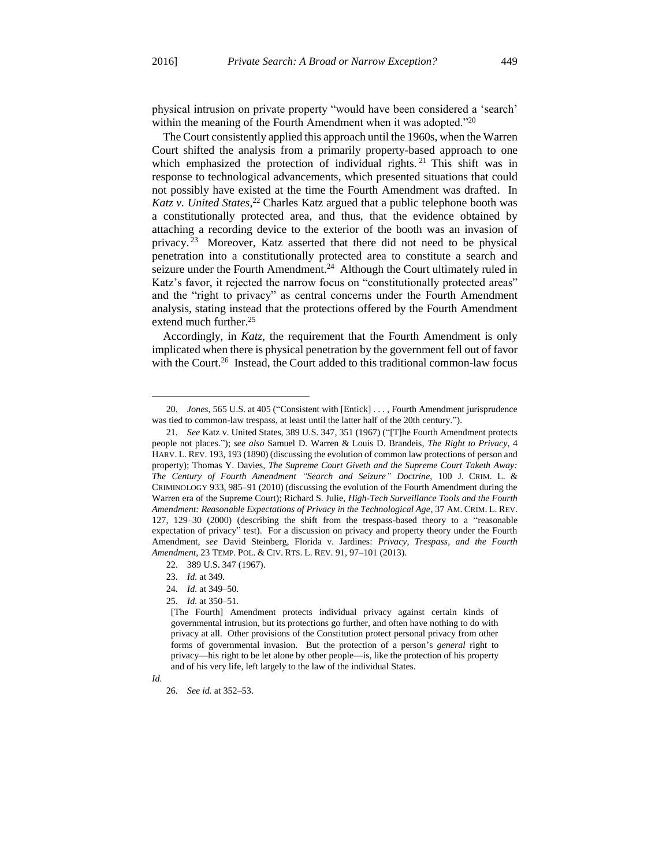physical intrusion on private property "would have been considered a 'search' within the meaning of the Fourth Amendment when it was adopted."<sup>20</sup>

The Court consistently applied this approach until the 1960s, when the Warren Court shifted the analysis from a primarily property-based approach to one which emphasized the protection of individual rights.<sup>21</sup> This shift was in response to technological advancements, which presented situations that could not possibly have existed at the time the Fourth Amendment was drafted. In *Katz v. United States*, <sup>22</sup> Charles Katz argued that a public telephone booth was a constitutionally protected area, and thus, that the evidence obtained by attaching a recording device to the exterior of the booth was an invasion of privacy.<sup>23</sup> Moreover, Katz asserted that there did not need to be physical penetration into a constitutionally protected area to constitute a search and seizure under the Fourth Amendment.<sup>24</sup> Although the Court ultimately ruled in Katz's favor, it rejected the narrow focus on "constitutionally protected areas" and the "right to privacy" as central concerns under the Fourth Amendment analysis, stating instead that the protections offered by the Fourth Amendment extend much further.<sup>25</sup>

Accordingly, in *Katz*, the requirement that the Fourth Amendment is only implicated when there is physical penetration by the government fell out of favor with the Court.<sup>26</sup> Instead, the Court added to this traditional common-law focus

<sup>20</sup>*. Jones*, 565 U.S. at 405 ("Consistent with [Entick] . . . , Fourth Amendment jurisprudence was tied to common-law trespass, at least until the latter half of the 20th century.").

<sup>21</sup>*. See* Katz v. United States, 389 U.S. 347, 351 (1967) ("[T]he Fourth Amendment protects people not places."); *see also* Samuel D. Warren & Louis D. Brandeis, *The Right to Privacy*, 4 HARV. L. REV. 193, 193 (1890) (discussing the evolution of common law protections of person and property); Thomas Y. Davies, *The Supreme Court Giveth and the Supreme Court Taketh Away: The Century of Fourth Amendment "Search and Seizure" Doctrine*, 100 J. CRIM. L. & CRIMINOLOGY 933, 985–91 (2010) (discussing the evolution of the Fourth Amendment during the Warren era of the Supreme Court); Richard S. Julie, *High-Tech Surveillance Tools and the Fourth Amendment: Reasonable Expectations of Privacy in the Technological Age*, 37 AM. CRIM. L. REV. 127, 129–30 (2000) (describing the shift from the trespass-based theory to a "reasonable expectation of privacy" test). For a discussion on privacy and property theory under the Fourth Amendment, *see* David Steinberg, Florida v. Jardines: *Privacy, Trespass, and the Fourth Amendment*, 23 TEMP. POL. & CIV. RTS. L. REV. 91, 97–101 (2013).

<sup>22.</sup> 389 U.S. 347 (1967).

<sup>23</sup>*. Id.* at 349.

<sup>24</sup>*. Id.* at 349–50.

<sup>25</sup>*. Id.* at 350–51.

<sup>[</sup>The Fourth] Amendment protects individual privacy against certain kinds of governmental intrusion, but its protections go further, and often have nothing to do with privacy at all. Other provisions of the Constitution protect personal privacy from other forms of governmental invasion. But the protection of a person's *general* right to privacy—his right to be let alone by other people—is, like the protection of his property and of his very life, left largely to the law of the individual States.

*Id.*

<sup>26</sup>*. See id.* at 352–53.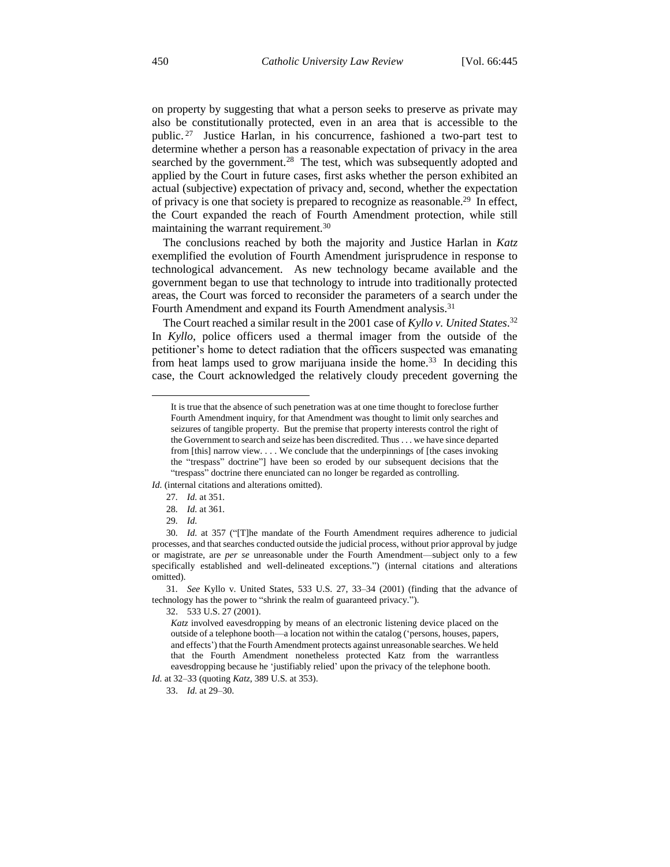on property by suggesting that what a person seeks to preserve as private may also be constitutionally protected, even in an area that is accessible to the public. <sup>27</sup> Justice Harlan, in his concurrence, fashioned a two-part test to determine whether a person has a reasonable expectation of privacy in the area searched by the government. $^{28}$  The test, which was subsequently adopted and applied by the Court in future cases, first asks whether the person exhibited an actual (subjective) expectation of privacy and, second, whether the expectation of privacy is one that society is prepared to recognize as reasonable.<sup>29</sup> In effect, the Court expanded the reach of Fourth Amendment protection, while still maintaining the warrant requirement.<sup>30</sup>

The conclusions reached by both the majority and Justice Harlan in *Katz* exemplified the evolution of Fourth Amendment jurisprudence in response to technological advancement. As new technology became available and the government began to use that technology to intrude into traditionally protected areas, the Court was forced to reconsider the parameters of a search under the Fourth Amendment and expand its Fourth Amendment analysis.<sup>31</sup>

The Court reached a similar result in the 2001 case of *Kyllo v. United States*. 32 In *Kyllo*, police officers used a thermal imager from the outside of the petitioner's home to detect radiation that the officers suspected was emanating from heat lamps used to grow marijuana inside the home.<sup>33</sup> In deciding this case, the Court acknowledged the relatively cloudy precedent governing the

#### *Id.* (internal citations and alterations omitted).

27*. Id.* at 351.

 $\overline{a}$ 

31*. See* Kyllo v. United States, 533 U.S. 27, 33–34 (2001) (finding that the advance of technology has the power to "shrink the realm of guaranteed privacy.").

32. 533 U.S. 27 (2001).

33. *Id.* at 29–30.

It is true that the absence of such penetration was at one time thought to foreclose further Fourth Amendment inquiry, for that Amendment was thought to limit only searches and seizures of tangible property. But the premise that property interests control the right of the Government to search and seize has been discredited. Thus . . . we have since departed from [this] narrow view. . . . We conclude that the underpinnings of [the cases invoking the "trespass" doctrine"] have been so eroded by our subsequent decisions that the "trespass" doctrine there enunciated can no longer be regarded as controlling.

<sup>28</sup>*. Id.* at 361.

<sup>29</sup>*. Id.*

<sup>30</sup>*. Id.* at 357 ("[T]he mandate of the Fourth Amendment requires adherence to judicial processes, and that searches conducted outside the judicial process, without prior approval by judge or magistrate, are *per se* unreasonable under the Fourth Amendment—subject only to a few specifically established and well-delineated exceptions.") (internal citations and alterations omitted).

*Katz* involved eavesdropping by means of an electronic listening device placed on the outside of a telephone booth—a location not within the catalog ('persons, houses, papers, and effects') that the Fourth Amendment protects against unreasonable searches. We held that the Fourth Amendment nonetheless protected Katz from the warrantless eavesdropping because he 'justifiably relied' upon the privacy of the telephone booth.

*Id.* at 32–33 (quoting *Katz*, 389 U.S. at 353).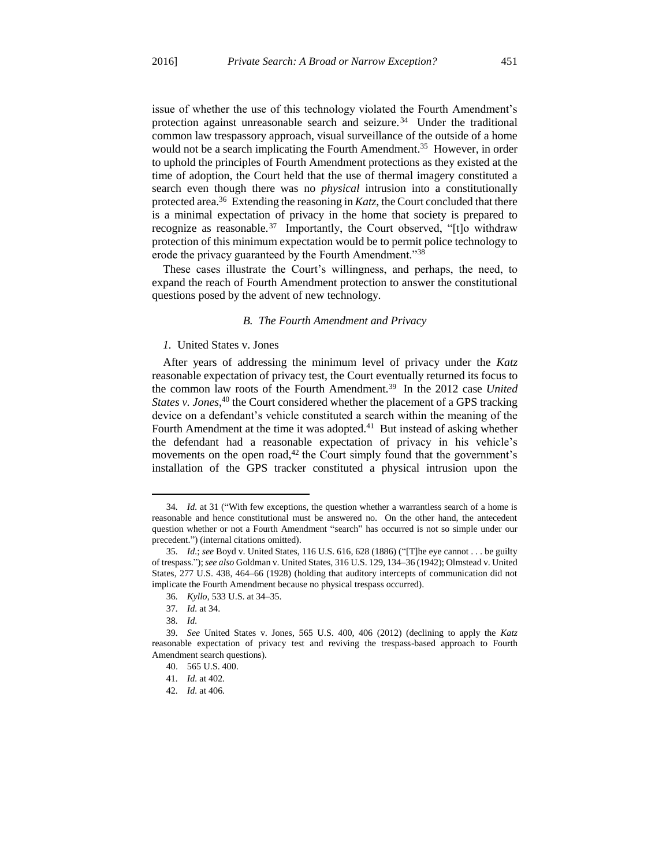issue of whether the use of this technology violated the Fourth Amendment's protection against unreasonable search and seizure.<sup>34</sup> Under the traditional common law trespassory approach, visual surveillance of the outside of a home would not be a search implicating the Fourth Amendment.<sup>35</sup> However, in order to uphold the principles of Fourth Amendment protections as they existed at the time of adoption, the Court held that the use of thermal imagery constituted a search even though there was no *physical* intrusion into a constitutionally protected area.<sup>36</sup> Extending the reasoning in *Katz*, the Court concluded that there is a minimal expectation of privacy in the home that society is prepared to recognize as reasonable.<sup>37</sup> Importantly, the Court observed, "[t]o withdraw protection of this minimum expectation would be to permit police technology to erode the privacy guaranteed by the Fourth Amendment."<sup>38</sup>

These cases illustrate the Court's willingness, and perhaps, the need, to expand the reach of Fourth Amendment protection to answer the constitutional questions posed by the advent of new technology.

#### *B. The Fourth Amendment and Privacy*

#### *1.* United States v. Jones

After years of addressing the minimum level of privacy under the *Katz* reasonable expectation of privacy test, the Court eventually returned its focus to the common law roots of the Fourth Amendment.<sup>39</sup> In the 2012 case *United* States v. Jones,<sup>40</sup> the Court considered whether the placement of a GPS tracking device on a defendant's vehicle constituted a search within the meaning of the Fourth Amendment at the time it was adopted. $41$  But instead of asking whether the defendant had a reasonable expectation of privacy in his vehicle's movements on the open road, $42$  the Court simply found that the government's installation of the GPS tracker constituted a physical intrusion upon the

<sup>34</sup>*. Id.* at 31 ("With few exceptions, the question whether a warrantless search of a home is reasonable and hence constitutional must be answered no. On the other hand, the antecedent question whether or not a Fourth Amendment "search" has occurred is not so simple under our precedent.") (internal citations omitted).

<sup>35</sup>*. Id.*; *see* Boyd v. United States, 116 U.S. 616, 628 (1886) ("[T]he eye cannot . . . be guilty of trespass."); *see also* Goldman v. United States, 316 U.S. 129, 134–36 (1942); Olmstead v. United States, 277 U.S. 438, 464–66 (1928) (holding that auditory intercepts of communication did not implicate the Fourth Amendment because no physical trespass occurred).

<sup>36</sup>*. Kyllo*, 533 U.S. at 34–35.

<sup>37</sup>*. Id.* at 34.

<sup>38</sup>*. Id.*

<sup>39</sup>*. See* United States v. Jones, 565 U.S. 400, 406 (2012) (declining to apply the *Katz* reasonable expectation of privacy test and reviving the trespass-based approach to Fourth Amendment search questions).

<sup>40.</sup> 565 U.S. 400.

<sup>41</sup>*. Id.* at 402.

<sup>42</sup>*. Id.* at 406.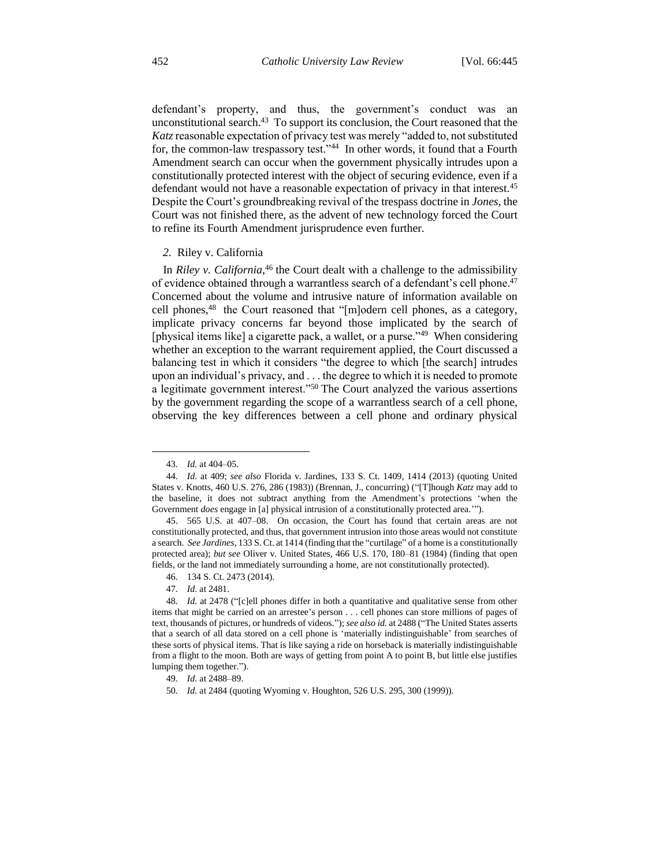defendant's property, and thus, the government's conduct was an unconstitutional search.<sup>43</sup> To support its conclusion, the Court reasoned that the *Katz*reasonable expectation of privacy test was merely "added to, not substituted for, the common-law trespassory test."<sup>44</sup> In other words, it found that a Fourth Amendment search can occur when the government physically intrudes upon a constitutionally protected interest with the object of securing evidence, even if a defendant would not have a reasonable expectation of privacy in that interest.<sup>45</sup> Despite the Court's groundbreaking revival of the trespass doctrine in *Jones*, the Court was not finished there, as the advent of new technology forced the Court to refine its Fourth Amendment jurisprudence even further.

#### *2.* Riley v. California

In *Riley v. California*, <sup>46</sup> the Court dealt with a challenge to the admissibility of evidence obtained through a warrantless search of a defendant's cell phone.<sup>47</sup> Concerned about the volume and intrusive nature of information available on cell phones,<sup>48</sup> the Court reasoned that "[m]odern cell phones, as a category, implicate privacy concerns far beyond those implicated by the search of [physical items like] a cigarette pack, a wallet, or a purse."<sup>49</sup> When considering whether an exception to the warrant requirement applied, the Court discussed a balancing test in which it considers "the degree to which [the search] intrudes upon an individual's privacy, and . . . the degree to which it is needed to promote a legitimate government interest."<sup>50</sup> The Court analyzed the various assertions by the government regarding the scope of a warrantless search of a cell phone, observing the key differences between a cell phone and ordinary physical

<sup>43</sup>*. Id.* at 404–05.

<sup>44</sup>*. Id.* at 409; *see also* Florida v. Jardines, 133 S. Ct. 1409, 1414 (2013) (quoting United States v. Knotts, 460 U.S. 276, 286 (1983)) (Brennan, J., concurring) ("[T]hough *Katz* may add to the baseline, it does not subtract anything from the Amendment's protections 'when the Government *does* engage in [a] physical intrusion of a constitutionally protected area.'").

<sup>45.</sup> 565 U.S. at 407–08. On occasion, the Court has found that certain areas are not constitutionally protected, and thus, that government intrusion into those areas would not constitute a search. *See Jardines*, 133 S. Ct. at 1414 (finding that the "curtilage" of a home is a constitutionally protected area); *but see* Oliver v. United States, 466 U.S. 170, 180–81 (1984) (finding that open fields, or the land not immediately surrounding a home, are not constitutionally protected).

<sup>46.</sup> 134 S. Ct. 2473 (2014).

<sup>47</sup>*. Id.* at 2481.

<sup>48</sup>*. Id.* at 2478 ("[c]ell phones differ in both a quantitative and qualitative sense from other items that might be carried on an arrestee's person . . . cell phones can store millions of pages of text, thousands of pictures, or hundreds of videos."); *see also id.* at 2488 ("The United States asserts that a search of all data stored on a cell phone is 'materially indistinguishable' from searches of these sorts of physical items. That is like saying a ride on horseback is materially indistinguishable from a flight to the moon. Both are ways of getting from point A to point B, but little else justifies lumping them together.").

<sup>49</sup>*. Id.* at 2488–89.

<sup>50</sup>*. Id.* at 2484 (quoting Wyoming v. Houghton, 526 U.S. 295, 300 (1999)).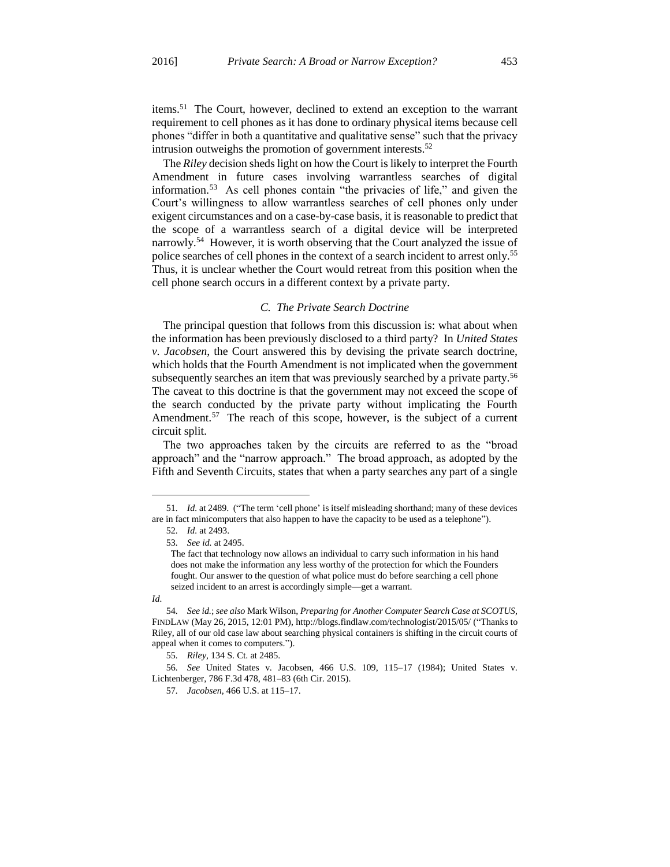items.<sup>51</sup> The Court, however, declined to extend an exception to the warrant requirement to cell phones as it has done to ordinary physical items because cell phones "differ in both a quantitative and qualitative sense" such that the privacy intrusion outweighs the promotion of government interests.<sup>52</sup>

The *Riley* decision sheds light on how the Court is likely to interpret the Fourth Amendment in future cases involving warrantless searches of digital information.<sup>53</sup> As cell phones contain "the privacies of life," and given the Court's willingness to allow warrantless searches of cell phones only under exigent circumstances and on a case-by-case basis, it is reasonable to predict that the scope of a warrantless search of a digital device will be interpreted narrowly.<sup>54</sup> However, it is worth observing that the Court analyzed the issue of police searches of cell phones in the context of a search incident to arrest only.<sup>55</sup> Thus, it is unclear whether the Court would retreat from this position when the cell phone search occurs in a different context by a private party.

### *C. The Private Search Doctrine*

The principal question that follows from this discussion is: what about when the information has been previously disclosed to a third party? In *United States v. Jacobsen*, the Court answered this by devising the private search doctrine, which holds that the Fourth Amendment is not implicated when the government subsequently searches an item that was previously searched by a private party.<sup>56</sup> The caveat to this doctrine is that the government may not exceed the scope of the search conducted by the private party without implicating the Fourth Amendment.<sup>57</sup> The reach of this scope, however, is the subject of a current circuit split.

The two approaches taken by the circuits are referred to as the "broad approach" and the "narrow approach." The broad approach, as adopted by the Fifth and Seventh Circuits, states that when a party searches any part of a single

<sup>51</sup>*. Id.* at 2489. ("The term 'cell phone' is itself misleading shorthand; many of these devices are in fact minicomputers that also happen to have the capacity to be used as a telephone").

<sup>52</sup>*. Id.* at 2493.

<sup>53</sup>*. See id.* at 2495.

The fact that technology now allows an individual to carry such information in his hand does not make the information any less worthy of the protection for which the Founders fought. Our answer to the question of what police must do before searching a cell phone seized incident to an arrest is accordingly simple—get a warrant.

*Id.*

<sup>54</sup>*. See id.*; *see also* Mark Wilson, *Preparing for Another Computer Search Case at SCOTUS*, FINDLAW (May 26, 2015, 12:01 PM), http://blogs.findlaw.com/technologist/2015/05/ ("Thanks to Riley, all of our old case law about searching physical containers is shifting in the circuit courts of appeal when it comes to computers.").

<sup>55</sup>*. Riley*, 134 S. Ct. at 2485.

<sup>56</sup>*. See* United States v. Jacobsen, 466 U.S. 109, 115–17 (1984); United States v. Lichtenberger, 786 F.3d 478, 481–83 (6th Cir. 2015).

<sup>57</sup>*. Jacobsen*, 466 U.S. at 115–17.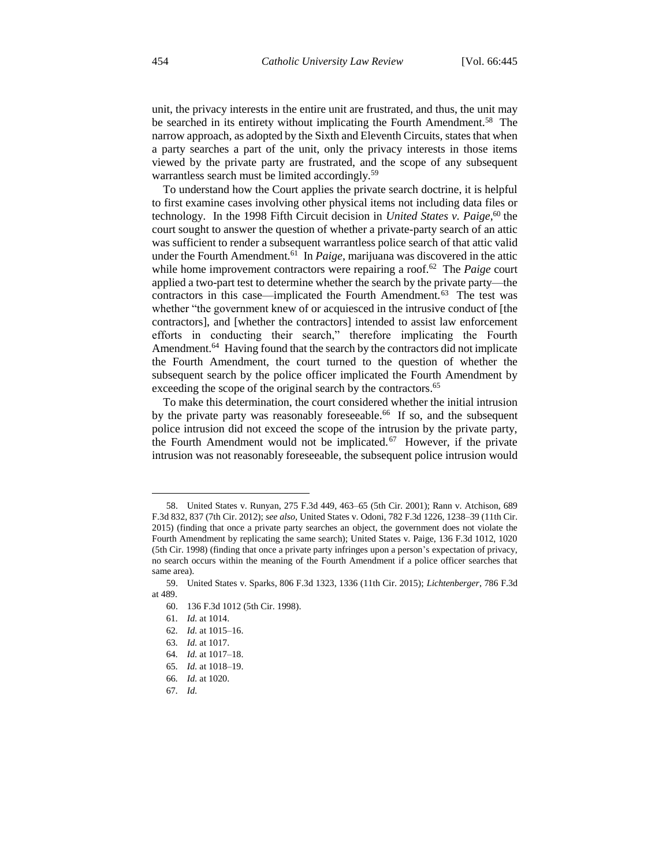unit, the privacy interests in the entire unit are frustrated, and thus, the unit may be searched in its entirety without implicating the Fourth Amendment.<sup>58</sup> The narrow approach, as adopted by the Sixth and Eleventh Circuits, states that when a party searches a part of the unit, only the privacy interests in those items viewed by the private party are frustrated, and the scope of any subsequent warrantless search must be limited accordingly.<sup>59</sup>

To understand how the Court applies the private search doctrine, it is helpful to first examine cases involving other physical items not including data files or technology. In the 1998 Fifth Circuit decision in *United States v. Paige*, <sup>60</sup> the court sought to answer the question of whether a private-party search of an attic was sufficient to render a subsequent warrantless police search of that attic valid under the Fourth Amendment.<sup>61</sup> In *Paige*, marijuana was discovered in the attic while home improvement contractors were repairing a roof.<sup>62</sup> The *Paige* court applied a two-part test to determine whether the search by the private party—the contractors in this case—implicated the Fourth Amendment.<sup>63</sup> The test was whether "the government knew of or acquiesced in the intrusive conduct of [the contractors], and [whether the contractors] intended to assist law enforcement efforts in conducting their search," therefore implicating the Fourth Amendment.<sup>64</sup> Having found that the search by the contractors did not implicate the Fourth Amendment, the court turned to the question of whether the subsequent search by the police officer implicated the Fourth Amendment by exceeding the scope of the original search by the contractors.<sup>65</sup>

To make this determination, the court considered whether the initial intrusion by the private party was reasonably foreseeable.<sup>66</sup> If so, and the subsequent police intrusion did not exceed the scope of the intrusion by the private party, the Fourth Amendment would not be implicated. $67$  However, if the private intrusion was not reasonably foreseeable, the subsequent police intrusion would

<sup>58.</sup> United States v. Runyan, 275 F.3d 449, 463–65 (5th Cir. 2001); Rann v. Atchison, 689 F.3d 832, 837 (7th Cir. 2012); *see also*, United States v. Odoni, 782 F.3d 1226, 1238–39 (11th Cir. 2015) (finding that once a private party searches an object, the government does not violate the Fourth Amendment by replicating the same search); United States v. Paige, 136 F.3d 1012, 1020 (5th Cir. 1998) (finding that once a private party infringes upon a person's expectation of privacy, no search occurs within the meaning of the Fourth Amendment if a police officer searches that same area).

<sup>59.</sup> United States v. Sparks, 806 F.3d 1323, 1336 (11th Cir. 2015); *Lichtenberger*, 786 F.3d at 489.

<sup>60.</sup> 136 F.3d 1012 (5th Cir. 1998).

<sup>61</sup>*. Id.* at 1014.

<sup>62</sup>*. Id.* at 1015–16.

<sup>63</sup>*. Id.* at 1017.

<sup>64</sup>*. Id.* at 1017–18.

<sup>65</sup>*. Id.* at 1018–19.

<sup>66</sup>*. Id.* at 1020.

<sup>67</sup>*. Id.*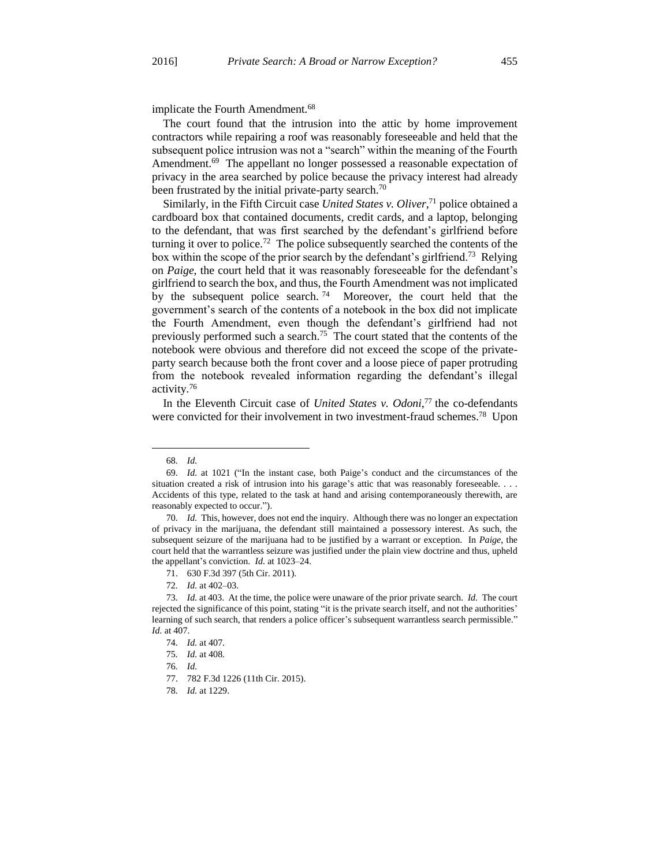implicate the Fourth Amendment.<sup>68</sup>

The court found that the intrusion into the attic by home improvement contractors while repairing a roof was reasonably foreseeable and held that the subsequent police intrusion was not a "search" within the meaning of the Fourth Amendment.<sup>69</sup> The appellant no longer possessed a reasonable expectation of privacy in the area searched by police because the privacy interest had already been frustrated by the initial private-party search.<sup>70</sup>

Similarly, in the Fifth Circuit case *United States v. Oliver*, <sup>71</sup> police obtained a cardboard box that contained documents, credit cards, and a laptop, belonging to the defendant, that was first searched by the defendant's girlfriend before turning it over to police.<sup>72</sup> The police subsequently searched the contents of the box within the scope of the prior search by the defendant's girlfriend.<sup>73</sup> Relying on *Paige*, the court held that it was reasonably foreseeable for the defendant's girlfriend to search the box, and thus, the Fourth Amendment was not implicated by the subsequent police search.<sup>74</sup> Moreover, the court held that the government's search of the contents of a notebook in the box did not implicate the Fourth Amendment, even though the defendant's girlfriend had not previously performed such a search.<sup>75</sup> The court stated that the contents of the notebook were obvious and therefore did not exceed the scope of the privateparty search because both the front cover and a loose piece of paper protruding from the notebook revealed information regarding the defendant's illegal activity.<sup>76</sup>

In the Eleventh Circuit case of *United States v. Odoni*, <sup>77</sup> the co-defendants were convicted for their involvement in two investment-fraud schemes.<sup>78</sup> Upon

<sup>68</sup>*. Id.*

<sup>69</sup>*. Id.* at 1021 ("In the instant case, both Paige's conduct and the circumstances of the situation created a risk of intrusion into his garage's attic that was reasonably foreseeable. . . . Accidents of this type, related to the task at hand and arising contemporaneously therewith, are reasonably expected to occur.").

<sup>70</sup>*. Id.* This, however, does not end the inquiry. Although there was no longer an expectation of privacy in the marijuana, the defendant still maintained a possessory interest. As such, the subsequent seizure of the marijuana had to be justified by a warrant or exception. In *Paige*, the court held that the warrantless seizure was justified under the plain view doctrine and thus, upheld the appellant's conviction. *Id.* at 1023–24.

<sup>71.</sup> 630 F.3d 397 (5th Cir. 2011).

<sup>72</sup>*. Id.* at 402–03.

<sup>73</sup>*. Id.* at 403. At the time, the police were unaware of the prior private search. *Id.* The court rejected the significance of this point, stating "it is the private search itself, and not the authorities' learning of such search, that renders a police officer's subsequent warrantless search permissible." *Id.* at 407.

<sup>74</sup>*. Id.* at 407.

<sup>75</sup>*. Id.* at 408.

<sup>76</sup>*. Id.*

<sup>77.</sup> 782 F.3d 1226 (11th Cir. 2015).

<sup>78</sup>*. Id.* at 1229.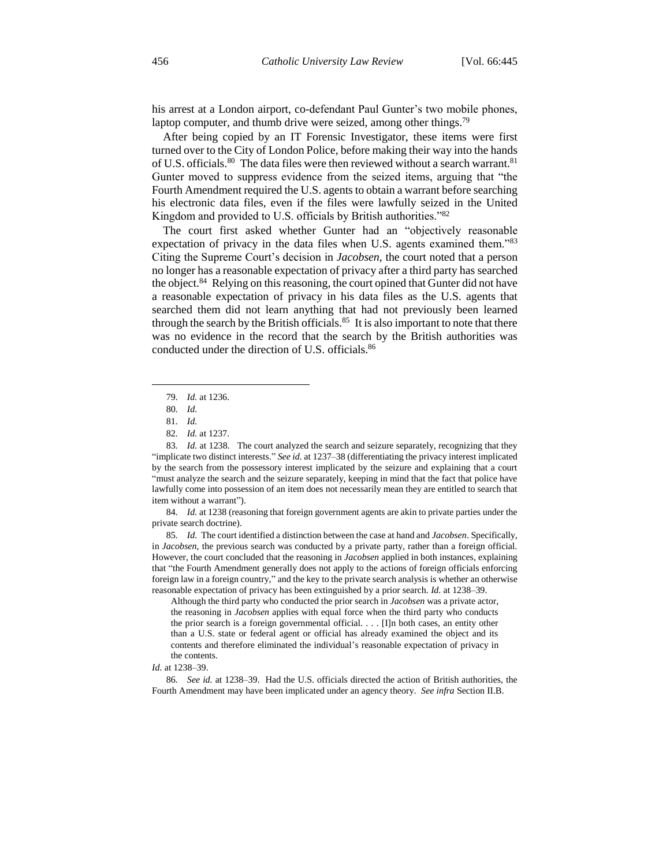his arrest at a London airport, co-defendant Paul Gunter's two mobile phones, laptop computer, and thumb drive were seized, among other things.<sup>79</sup>

After being copied by an IT Forensic Investigator, these items were first turned over to the City of London Police, before making their way into the hands of U.S. officials.<sup>80</sup> The data files were then reviewed without a search warrant.<sup>81</sup> Gunter moved to suppress evidence from the seized items, arguing that "the Fourth Amendment required the U.S. agents to obtain a warrant before searching his electronic data files, even if the files were lawfully seized in the United Kingdom and provided to U.S. officials by British authorities."<sup>82</sup>

The court first asked whether Gunter had an "objectively reasonable expectation of privacy in the data files when U.S. agents examined them."83 Citing the Supreme Court's decision in *Jacobsen*, the court noted that a person no longer has a reasonable expectation of privacy after a third party has searched the object.<sup>84</sup> Relying on this reasoning, the court opined that Gunter did not have a reasonable expectation of privacy in his data files as the U.S. agents that searched them did not learn anything that had not previously been learned through the search by the British officials.<sup>85</sup> It is also important to note that there was no evidence in the record that the search by the British authorities was conducted under the direction of U.S. officials.<sup>86</sup>

 $\overline{a}$ 

84*. Id.* at 1238 (reasoning that foreign government agents are akin to private parties under the private search doctrine).

85*. Id.* The court identified a distinction between the case at hand and *Jacobsen*. Specifically, in *Jacobsen*, the previous search was conducted by a private party, rather than a foreign official. However, the court concluded that the reasoning in *Jacobsen* applied in both instances, explaining that "the Fourth Amendment generally does not apply to the actions of foreign officials enforcing foreign law in a foreign country," and the key to the private search analysis is whether an otherwise reasonable expectation of privacy has been extinguished by a prior search. *Id.* at 1238–39.

Although the third party who conducted the prior search in *Jacobsen* was a private actor, the reasoning in *Jacobsen* applies with equal force when the third party who conducts the prior search is a foreign governmental official. . . . [I]n both cases, an entity other than a U.S. state or federal agent or official has already examined the object and its contents and therefore eliminated the individual's reasonable expectation of privacy in the contents.

86*. See id.* at 1238–39. Had the U.S. officials directed the action of British authorities, the Fourth Amendment may have been implicated under an agency theory. *See infra* Section II.B.

<sup>79</sup>*. Id.* at 1236.

<sup>80</sup>*. Id.*

<sup>81</sup>*. Id.*

<sup>82</sup>*. Id.* at 1237.

<sup>83</sup>*. Id.* at 1238. The court analyzed the search and seizure separately, recognizing that they "implicate two distinct interests." *See id.* at 1237–38 (differentiating the privacy interest implicated by the search from the possessory interest implicated by the seizure and explaining that a court "must analyze the search and the seizure separately, keeping in mind that the fact that police have lawfully come into possession of an item does not necessarily mean they are entitled to search that item without a warrant").

*Id.* at 1238–39.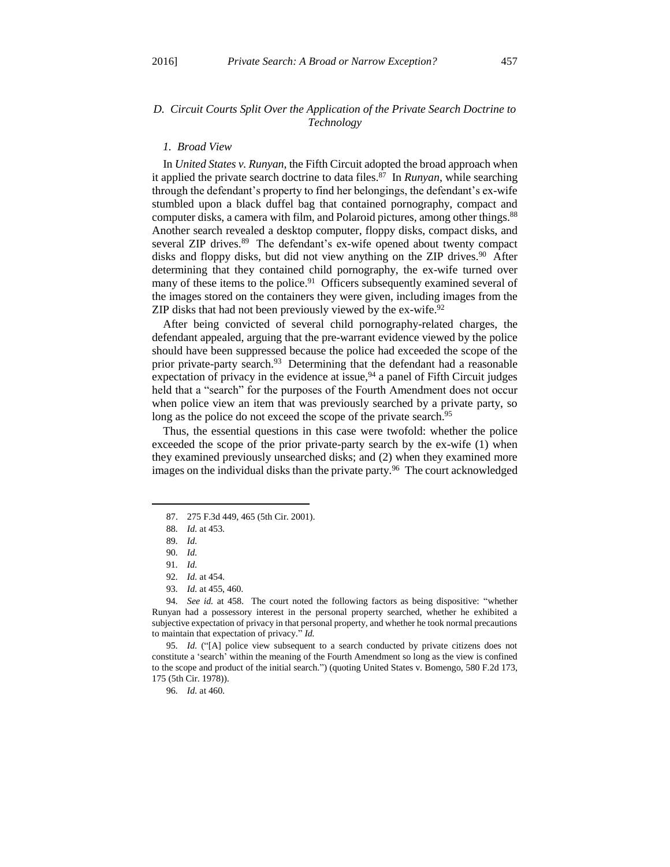# *D. Circuit Courts Split Over the Application of the Private Search Doctrine to Technology*

#### *1. Broad View*

In *United States v. Runyan*, the Fifth Circuit adopted the broad approach when it applied the private search doctrine to data files.<sup>87</sup> In *Runyan*, while searching through the defendant's property to find her belongings, the defendant's ex-wife stumbled upon a black duffel bag that contained pornography, compact and computer disks, a camera with film, and Polaroid pictures, among other things.<sup>88</sup> Another search revealed a desktop computer, floppy disks, compact disks, and several ZIP drives.<sup>89</sup> The defendant's ex-wife opened about twenty compact disks and floppy disks, but did not view anything on the ZIP drives.<sup>90</sup> After determining that they contained child pornography, the ex-wife turned over many of these items to the police.<sup>91</sup> Officers subsequently examined several of the images stored on the containers they were given, including images from the ZIP disks that had not been previously viewed by the ex-wife.<sup>92</sup>

After being convicted of several child pornography-related charges, the defendant appealed, arguing that the pre-warrant evidence viewed by the police should have been suppressed because the police had exceeded the scope of the prior private-party search.<sup>93</sup> Determining that the defendant had a reasonable expectation of privacy in the evidence at issue,  $94$  a panel of Fifth Circuit judges held that a "search" for the purposes of the Fourth Amendment does not occur when police view an item that was previously searched by a private party, so long as the police do not exceed the scope of the private search.<sup>95</sup>

Thus, the essential questions in this case were twofold: whether the police exceeded the scope of the prior private-party search by the ex-wife (1) when they examined previously unsearched disks; and (2) when they examined more images on the individual disks than the private party.<sup>96</sup> The court acknowledged

 $\overline{a}$ 

95*. Id.* ("[A] police view subsequent to a search conducted by private citizens does not constitute a 'search' within the meaning of the Fourth Amendment so long as the view is confined to the scope and product of the initial search.") (quoting United States v. Bomengo, 580 F.2d 173, 175 (5th Cir. 1978)).

96*. Id.* at 460.

<sup>87.</sup> 275 F.3d 449, 465 (5th Cir. 2001).

<sup>88</sup>*. Id.* at 453.

<sup>89</sup>*. Id.*

<sup>90</sup>*. Id.*

<sup>91</sup>*. Id.*

<sup>92</sup>*. Id.* at 454.

<sup>93</sup>*. Id.* at 455, 460.

<sup>94</sup>*. See id.* at 458. The court noted the following factors as being dispositive: "whether Runyan had a possessory interest in the personal property searched, whether he exhibited a subjective expectation of privacy in that personal property, and whether he took normal precautions to maintain that expectation of privacy." *Id.*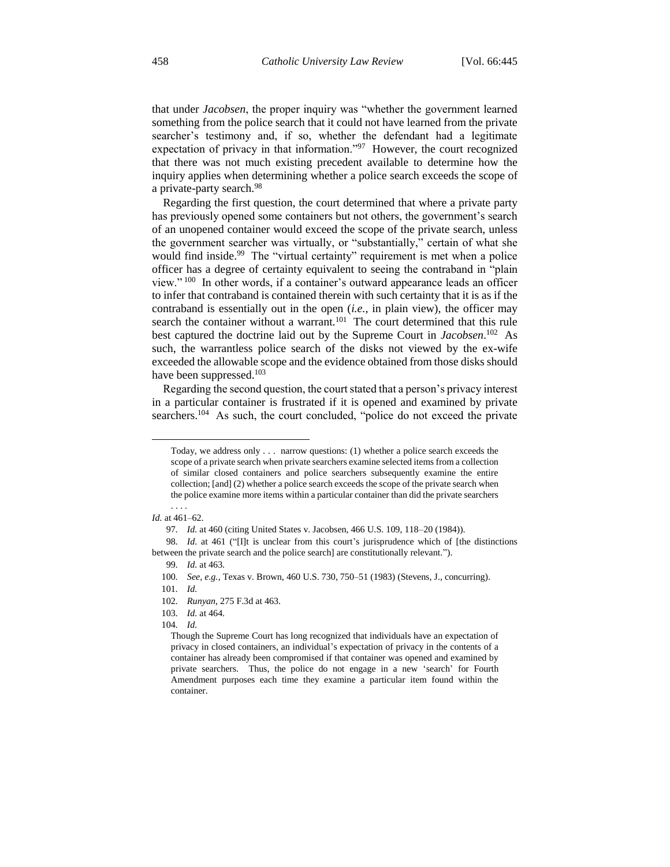that under *Jacobsen*, the proper inquiry was "whether the government learned something from the police search that it could not have learned from the private searcher's testimony and, if so, whether the defendant had a legitimate expectation of privacy in that information."<sup>97</sup> However, the court recognized that there was not much existing precedent available to determine how the inquiry applies when determining whether a police search exceeds the scope of a private-party search.<sup>98</sup>

Regarding the first question, the court determined that where a private party has previously opened some containers but not others, the government's search of an unopened container would exceed the scope of the private search, unless the government searcher was virtually, or "substantially," certain of what she would find inside.<sup>99</sup> The "virtual certainty" requirement is met when a police officer has a degree of certainty equivalent to seeing the contraband in "plain view." <sup>100</sup> In other words, if a container's outward appearance leads an officer to infer that contraband is contained therein with such certainty that it is as if the contraband is essentially out in the open (*i.e.*, in plain view), the officer may search the container without a warrant.<sup>101</sup> The court determined that this rule best captured the doctrine laid out by the Supreme Court in *Jacobsen*. 102 As such, the warrantless police search of the disks not viewed by the ex-wife exceeded the allowable scope and the evidence obtained from those disks should have been suppressed.<sup>103</sup>

Regarding the second question, the court stated that a person's privacy interest in a particular container is frustrated if it is opened and examined by private searchers.<sup>104</sup> As such, the court concluded, "police do not exceed the private

 $\overline{a}$ 

98*. Id.* at 461 ("[I]t is unclear from this court's jurisprudence which of [the distinctions between the private search and the police search] are constitutionally relevant.").

103*. Id.* at 464.

Today, we address only . . . narrow questions: (1) whether a police search exceeds the scope of a private search when private searchers examine selected items from a collection of similar closed containers and police searchers subsequently examine the entire collection; [and] (2) whether a police search exceeds the scope of the private search when the police examine more items within a particular container than did the private searchers

<sup>. . . .</sup> *Id.* at 461–62.

<sup>97</sup>*. Id.* at 460 (citing United States v. Jacobsen, 466 U.S. 109, 118–20 (1984)).

<sup>99</sup>*. Id.* at 463.

<sup>100</sup>*. See, e.g.*, Texas v. Brown, 460 U.S. 730, 750–51 (1983) (Stevens, J., concurring).

<sup>101</sup>*. Id.*

<sup>102</sup>*. Runyan*, 275 F.3d at 463.

<sup>104</sup>*. Id.*

Though the Supreme Court has long recognized that individuals have an expectation of privacy in closed containers, an individual's expectation of privacy in the contents of a container has already been compromised if that container was opened and examined by private searchers. Thus, the police do not engage in a new 'search' for Fourth Amendment purposes each time they examine a particular item found within the container.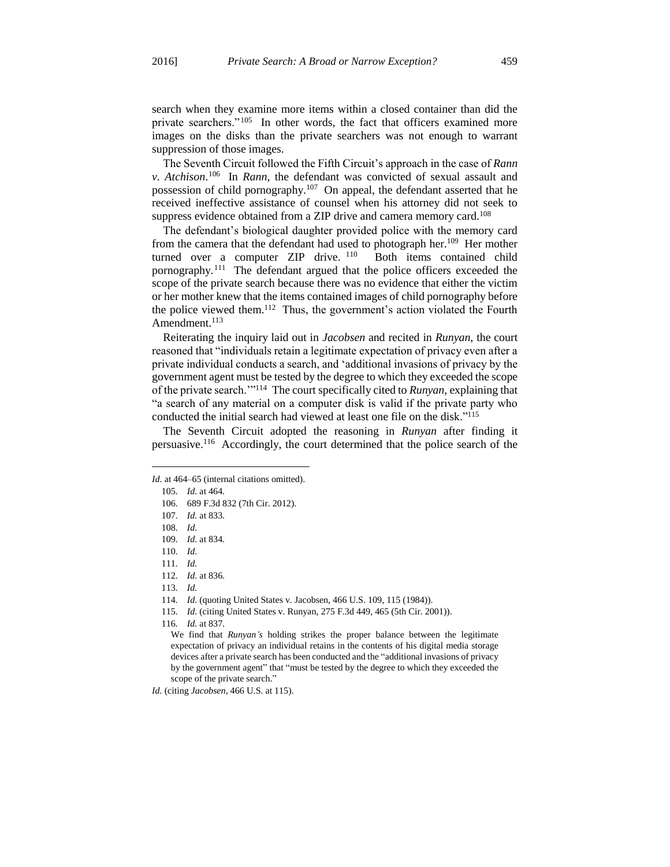search when they examine more items within a closed container than did the private searchers."<sup>105</sup> In other words, the fact that officers examined more images on the disks than the private searchers was not enough to warrant suppression of those images.

The Seventh Circuit followed the Fifth Circuit's approach in the case of *Rann v. Atchison*. 106 In *Rann*, the defendant was convicted of sexual assault and possession of child pornography.<sup>107</sup> On appeal, the defendant asserted that he received ineffective assistance of counsel when his attorney did not seek to suppress evidence obtained from a ZIP drive and camera memory card.<sup>108</sup>

The defendant's biological daughter provided police with the memory card from the camera that the defendant had used to photograph her.<sup>109</sup> Her mother turned over a computer ZIP drive. <sup>110</sup> Both items contained child pornography.<sup>111</sup> The defendant argued that the police officers exceeded the scope of the private search because there was no evidence that either the victim or her mother knew that the items contained images of child pornography before the police viewed them.<sup>112</sup> Thus, the government's action violated the Fourth Amendment.<sup>113</sup>

Reiterating the inquiry laid out in *Jacobsen* and recited in *Runyan*, the court reasoned that "individuals retain a legitimate expectation of privacy even after a private individual conducts a search, and 'additional invasions of privacy by the government agent must be tested by the degree to which they exceeded the scope of the private search.'"<sup>114</sup> The court specifically cited to *Runyan*, explaining that "a search of any material on a computer disk is valid if the private party who conducted the initial search had viewed at least one file on the disk."<sup>115</sup>

The Seventh Circuit adopted the reasoning in *Runyan* after finding it persuasive.<sup>116</sup> Accordingly, the court determined that the police search of the

 $\overline{a}$ 

*Id.* (citing *Jacobsen*, 466 U.S. at 115).

*Id.* at 464–65 (internal citations omitted).

<sup>105</sup>*. Id.* at 464.

<sup>106.</sup> 689 F.3d 832 (7th Cir. 2012).

<sup>107</sup>*. Id.* at 833.

<sup>108</sup>*. Id.*

<sup>109</sup>*. Id.* at 834.

<sup>110</sup>*. Id.*

<sup>111</sup>*. Id.*

<sup>112</sup>*. Id.* at 836.

<sup>113</sup>*. Id.*

<sup>114</sup>*. Id.* (quoting United States v. Jacobsen, 466 U.S. 109, 115 (1984)).

<sup>115</sup>*. Id.* (citing United States v. Runyan, 275 F.3d 449, 465 (5th Cir. 2001)).

<sup>116</sup>*. Id.* at 837.

We find that *Runyan's* holding strikes the proper balance between the legitimate expectation of privacy an individual retains in the contents of his digital media storage devices after a private search has been conducted and the "additional invasions of privacy by the government agent" that "must be tested by the degree to which they exceeded the scope of the private search."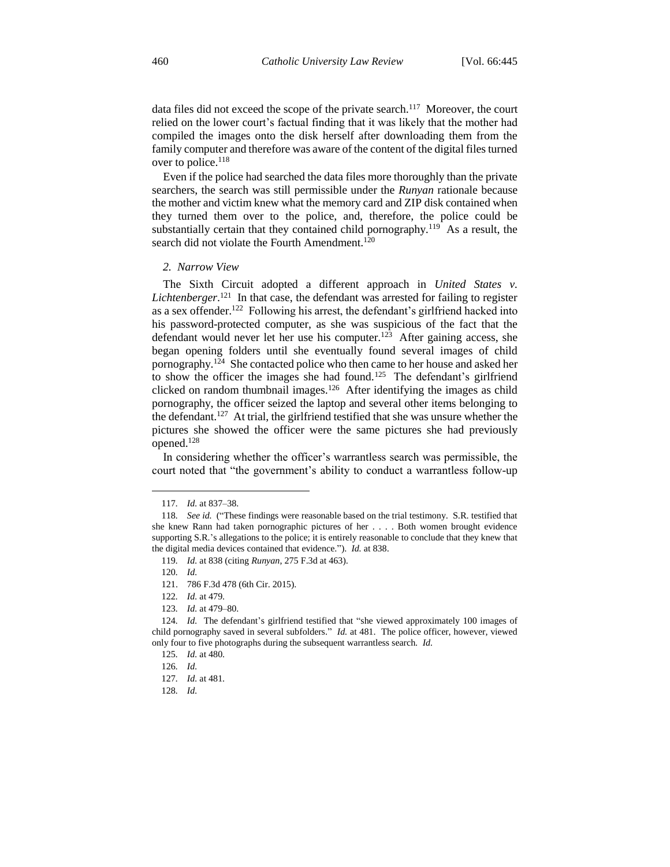data files did not exceed the scope of the private search.<sup>117</sup> Moreover, the court relied on the lower court's factual finding that it was likely that the mother had compiled the images onto the disk herself after downloading them from the family computer and therefore was aware of the content of the digital files turned over to police.<sup>118</sup>

Even if the police had searched the data files more thoroughly than the private searchers, the search was still permissible under the *Runyan* rationale because the mother and victim knew what the memory card and ZIP disk contained when they turned them over to the police, and, therefore, the police could be substantially certain that they contained child pornography.<sup>119</sup> As a result, the search did not violate the Fourth Amendment.<sup>120</sup>

*2. Narrow View*

The Sixth Circuit adopted a different approach in *United States v.*  Lichtenberger.<sup>121</sup> In that case, the defendant was arrested for failing to register as a sex offender.<sup>122</sup> Following his arrest, the defendant's girlfriend hacked into his password-protected computer, as she was suspicious of the fact that the defendant would never let her use his computer.<sup>123</sup> After gaining access, she began opening folders until she eventually found several images of child pornography.<sup>124</sup> She contacted police who then came to her house and asked her to show the officer the images she had found.<sup>125</sup> The defendant's girlfriend clicked on random thumbnail images.<sup>126</sup> After identifying the images as child pornography, the officer seized the laptop and several other items belonging to the defendant.<sup>127</sup> At trial, the girlfriend testified that she was unsure whether the pictures she showed the officer were the same pictures she had previously opened.<sup>128</sup>

In considering whether the officer's warrantless search was permissible, the court noted that "the government's ability to conduct a warrantless follow-up

<sup>117</sup>*. Id.* at 837–38.

<sup>118</sup>*. See id.* ("These findings were reasonable based on the trial testimony. S.R. testified that she knew Rann had taken pornographic pictures of her . . . . Both women brought evidence supporting S.R.'s allegations to the police; it is entirely reasonable to conclude that they knew that the digital media devices contained that evidence."). *Id.* at 838.

<sup>119</sup>*. Id.* at 838 (citing *Runyan*, 275 F.3d at 463).

<sup>120</sup>*. Id.*

<sup>121.</sup> 786 F.3d 478 (6th Cir. 2015).

<sup>122</sup>*. Id.* at 479.

<sup>123</sup>*. Id.* at 479–80.

<sup>124</sup>*. Id.* The defendant's girlfriend testified that "she viewed approximately 100 images of child pornography saved in several subfolders." *Id.* at 481. The police officer, however, viewed only four to five photographs during the subsequent warrantless search. *Id.*

<sup>125</sup>*. Id.* at 480.

<sup>126</sup>*. Id.*

<sup>127</sup>*. Id.* at 481.

<sup>128</sup>*. Id.*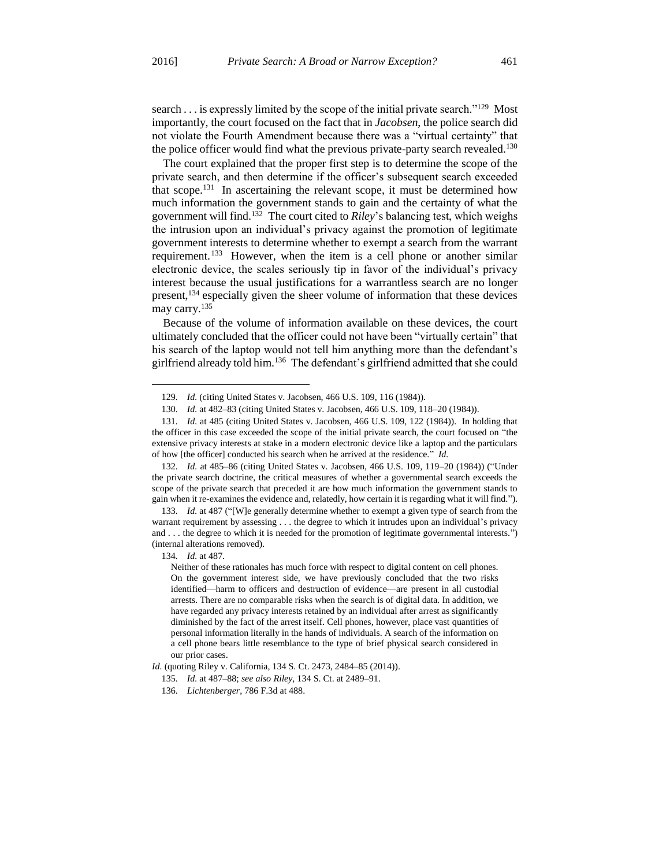$\overline{a}$ 

search . . . is expressly limited by the scope of the initial private search."<sup>129</sup> Most importantly, the court focused on the fact that in *Jacobsen*, the police search did not violate the Fourth Amendment because there was a "virtual certainty" that the police officer would find what the previous private-party search revealed.<sup>130</sup>

The court explained that the proper first step is to determine the scope of the private search, and then determine if the officer's subsequent search exceeded that scope.<sup>131</sup> In ascertaining the relevant scope, it must be determined how much information the government stands to gain and the certainty of what the government will find.<sup>132</sup> The court cited to *Riley*'s balancing test, which weighs the intrusion upon an individual's privacy against the promotion of legitimate government interests to determine whether to exempt a search from the warrant requirement.<sup>133</sup> However, when the item is a cell phone or another similar electronic device, the scales seriously tip in favor of the individual's privacy interest because the usual justifications for a warrantless search are no longer present,<sup>134</sup> especially given the sheer volume of information that these devices may carry.<sup>135</sup>

Because of the volume of information available on these devices, the court ultimately concluded that the officer could not have been "virtually certain" that his search of the laptop would not tell him anything more than the defendant's girlfriend already told him.<sup>136</sup> The defendant's girlfriend admitted that she could

<sup>129</sup>*. Id.* (citing United States v. Jacobsen, 466 U.S. 109, 116 (1984)).

<sup>130</sup>*. Id.* at 482–83 (citing United States v. Jacobsen, 466 U.S. 109, 118–20 (1984)).

<sup>131</sup>*. Id.* at 485 (citing United States v. Jacobsen, 466 U.S. 109, 122 (1984)). In holding that the officer in this case exceeded the scope of the initial private search, the court focused on "the extensive privacy interests at stake in a modern electronic device like a laptop and the particulars of how [the officer] conducted his search when he arrived at the residence." *Id.*

<sup>132</sup>*. Id.* at 485–86 (citing United States v. Jacobsen, 466 U.S. 109, 119–20 (1984)) ("Under the private search doctrine, the critical measures of whether a governmental search exceeds the scope of the private search that preceded it are how much information the government stands to gain when it re-examines the evidence and, relatedly, how certain it is regarding what it will find.").

<sup>133</sup>*. Id.* at 487 ("[W]e generally determine whether to exempt a given type of search from the warrant requirement by assessing . . . the degree to which it intrudes upon an individual's privacy and . . . the degree to which it is needed for the promotion of legitimate governmental interests.") (internal alterations removed).

<sup>134</sup>*. Id.* at 487.

Neither of these rationales has much force with respect to digital content on cell phones. On the government interest side, we have previously concluded that the two risks identified—harm to officers and destruction of evidence—are present in all custodial arrests. There are no comparable risks when the search is of digital data. In addition, we have regarded any privacy interests retained by an individual after arrest as significantly diminished by the fact of the arrest itself. Cell phones, however, place vast quantities of personal information literally in the hands of individuals. A search of the information on a cell phone bears little resemblance to the type of brief physical search considered in our prior cases.

*Id.* (quoting Riley v. California, 134 S. Ct. 2473, 2484–85 (2014)).

<sup>135</sup>*. Id.* at 487–88; *see also Riley*, 134 S. Ct. at 2489–91.

<sup>136</sup>*. Lichtenberger*, 786 F.3d at 488.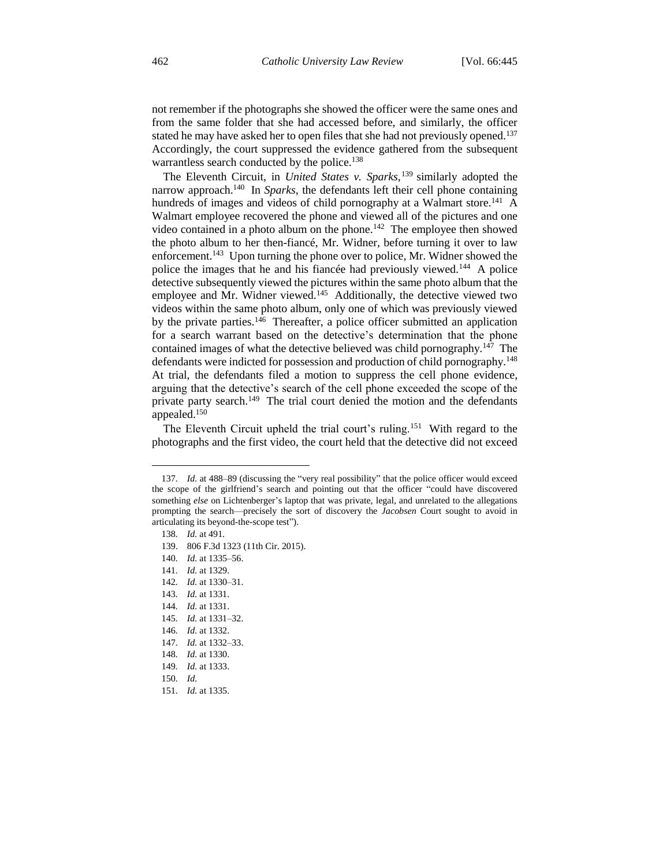not remember if the photographs she showed the officer were the same ones and from the same folder that she had accessed before, and similarly, the officer stated he may have asked her to open files that she had not previously opened.<sup>137</sup> Accordingly, the court suppressed the evidence gathered from the subsequent warrantless search conducted by the police.<sup>138</sup>

The Eleventh Circuit, in *United States v. Sparks*, <sup>139</sup> similarly adopted the narrow approach.<sup>140</sup> In *Sparks*, the defendants left their cell phone containing hundreds of images and videos of child pornography at a Walmart store.<sup>141</sup> A Walmart employee recovered the phone and viewed all of the pictures and one video contained in a photo album on the phone.<sup>142</sup> The employee then showed the photo album to her then-fiancé, Mr. Widner, before turning it over to law enforcement.<sup>143</sup> Upon turning the phone over to police, Mr. Widner showed the police the images that he and his fiancée had previously viewed.<sup>144</sup> A police detective subsequently viewed the pictures within the same photo album that the employee and Mr. Widner viewed.<sup>145</sup> Additionally, the detective viewed two videos within the same photo album, only one of which was previously viewed by the private parties.<sup>146</sup> Thereafter, a police officer submitted an application for a search warrant based on the detective's determination that the phone contained images of what the detective believed was child pornography.<sup>147</sup> The defendants were indicted for possession and production of child pornography.<sup>148</sup> At trial, the defendants filed a motion to suppress the cell phone evidence, arguing that the detective's search of the cell phone exceeded the scope of the private party search.<sup>149</sup> The trial court denied the motion and the defendants appealed.<sup>150</sup>

The Eleventh Circuit upheld the trial court's ruling.<sup>151</sup> With regard to the photographs and the first video, the court held that the detective did not exceed

<sup>137</sup>*. Id.* at 488–89 (discussing the "very real possibility" that the police officer would exceed the scope of the girlfriend's search and pointing out that the officer "could have discovered something *else* on Lichtenberger's laptop that was private, legal, and unrelated to the allegations prompting the search—precisely the sort of discovery the *Jacobsen* Court sought to avoid in articulating its beyond-the-scope test").

<sup>138</sup>*. Id.* at 491.

<sup>139.</sup> 806 F.3d 1323 (11th Cir. 2015).

<sup>140</sup>*. Id.* at 1335–56.

<sup>141</sup>*. Id.* at 1329.

<sup>142</sup>*. Id.* at 1330–31.

<sup>143</sup>*. Id.* at 1331.

<sup>144</sup>*. Id.* at 1331.

<sup>145</sup>*. Id.* at 1331–32.

<sup>146</sup>*. Id.* at 1332.

<sup>147</sup>*. Id.* at 1332–33.

<sup>148</sup>*. Id.* at 1330.

<sup>149</sup>*. Id.* at 1333.

<sup>150</sup>*. Id.*

<sup>151</sup>*. Id.* at 1335.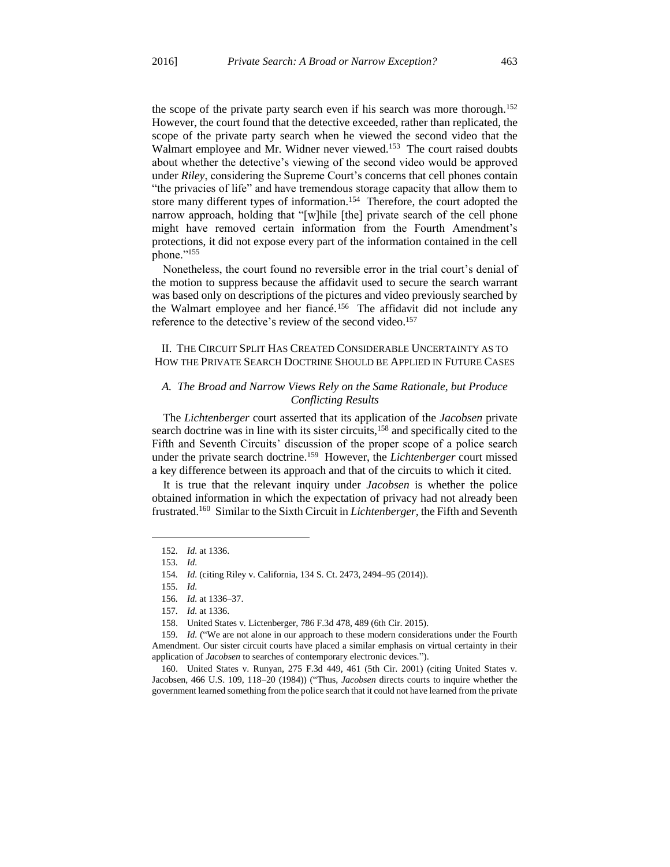the scope of the private party search even if his search was more thorough.<sup>152</sup> However, the court found that the detective exceeded, rather than replicated, the scope of the private party search when he viewed the second video that the Walmart employee and Mr. Widner never viewed.<sup>153</sup> The court raised doubts about whether the detective's viewing of the second video would be approved under *Riley*, considering the Supreme Court's concerns that cell phones contain "the privacies of life" and have tremendous storage capacity that allow them to store many different types of information.<sup>154</sup> Therefore, the court adopted the narrow approach, holding that "[w]hile [the] private search of the cell phone might have removed certain information from the Fourth Amendment's protections, it did not expose every part of the information contained in the cell phone."<sup>155</sup>

Nonetheless, the court found no reversible error in the trial court's denial of the motion to suppress because the affidavit used to secure the search warrant was based only on descriptions of the pictures and video previously searched by the Walmart employee and her fiancé.<sup>156</sup> The affidavit did not include any reference to the detective's review of the second video.<sup>157</sup>

# II. THE CIRCUIT SPLIT HAS CREATED CONSIDERABLE UNCERTAINTY AS TO HOW THE PRIVATE SEARCH DOCTRINE SHOULD BE APPLIED IN FUTURE CASES

### *A. The Broad and Narrow Views Rely on the Same Rationale, but Produce Conflicting Results*

The *Lichtenberger* court asserted that its application of the *Jacobsen* private search doctrine was in line with its sister circuits,<sup>158</sup> and specifically cited to the Fifth and Seventh Circuits' discussion of the proper scope of a police search under the private search doctrine.<sup>159</sup> However, the *Lichtenberger* court missed a key difference between its approach and that of the circuits to which it cited.

It is true that the relevant inquiry under *Jacobsen* is whether the police obtained information in which the expectation of privacy had not already been frustrated.<sup>160</sup> Similar to the Sixth Circuit in *Lichtenberger*, the Fifth and Seventh

 $\overline{a}$ 

160. United States v. Runyan, 275 F.3d 449, 461 (5th Cir. 2001) (citing United States v. Jacobsen, 466 U.S. 109, 118–20 (1984)) ("Thus, *Jacobsen* directs courts to inquire whether the government learned something from the police search that it could not have learned from the private

<sup>152</sup>*. Id.* at 1336.

<sup>153</sup>*. Id.*

<sup>154</sup>*. Id.* (citing Riley v. California, 134 S. Ct. 2473, 2494–95 (2014)).

<sup>155</sup>*. Id.*

<sup>156</sup>*. Id.* at 1336–37.

<sup>157</sup>*. Id.* at 1336.

<sup>158.</sup> United States v. Lictenberger, 786 F.3d 478, 489 (6th Cir. 2015).

<sup>159</sup>*. Id.* ("We are not alone in our approach to these modern considerations under the Fourth Amendment. Our sister circuit courts have placed a similar emphasis on virtual certainty in their application of *Jacobsen* to searches of contemporary electronic devices.").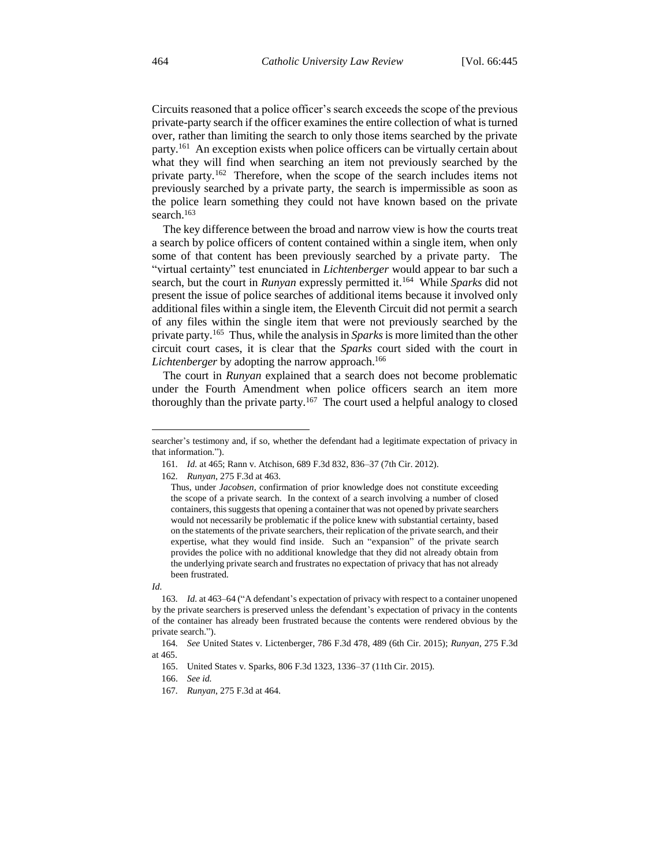Circuits reasoned that a police officer's search exceeds the scope of the previous private-party search if the officer examines the entire collection of what is turned over, rather than limiting the search to only those items searched by the private party.<sup>161</sup> An exception exists when police officers can be virtually certain about what they will find when searching an item not previously searched by the private party.<sup>162</sup> Therefore, when the scope of the search includes items not previously searched by a private party, the search is impermissible as soon as the police learn something they could not have known based on the private search.<sup>163</sup>

The key difference between the broad and narrow view is how the courts treat a search by police officers of content contained within a single item, when only some of that content has been previously searched by a private party. The "virtual certainty" test enunciated in *Lichtenberger* would appear to bar such a search, but the court in *Runyan* expressly permitted it.<sup>164</sup> While *Sparks* did not present the issue of police searches of additional items because it involved only additional files within a single item, the Eleventh Circuit did not permit a search of any files within the single item that were not previously searched by the private party.<sup>165</sup> Thus, while the analysis in *Sparks*is more limited than the other circuit court cases, it is clear that the *Sparks* court sided with the court in Lichtenberger by adopting the narrow approach.<sup>166</sup>

The court in *Runyan* explained that a search does not become problematic under the Fourth Amendment when police officers search an item more thoroughly than the private party.<sup>167</sup> The court used a helpful analogy to closed

*Id.*

 $\overline{a}$ 

166. *See id.*

searcher's testimony and, if so, whether the defendant had a legitimate expectation of privacy in that information.").

<sup>161</sup>*. Id.* at 465; Rann v. Atchison, 689 F.3d 832, 836–37 (7th Cir. 2012).

<sup>162</sup>*. Runyan*, 275 F.3d at 463.

Thus, under *Jacobsen*, confirmation of prior knowledge does not constitute exceeding the scope of a private search. In the context of a search involving a number of closed containers, this suggests that opening a container that was not opened by private searchers would not necessarily be problematic if the police knew with substantial certainty, based on the statements of the private searchers, their replication of the private search, and their expertise, what they would find inside. Such an "expansion" of the private search provides the police with no additional knowledge that they did not already obtain from the underlying private search and frustrates no expectation of privacy that has not already been frustrated.

<sup>163</sup>*. Id.* at 463–64 ("A defendant's expectation of privacy with respect to a container unopened by the private searchers is preserved unless the defendant's expectation of privacy in the contents of the container has already been frustrated because the contents were rendered obvious by the private search.").

<sup>164</sup>*. See* United States v. Lictenberger, 786 F.3d 478, 489 (6th Cir. 2015); *Runyan*, 275 F.3d at 465.

<sup>165.</sup> United States v. Sparks, 806 F.3d 1323, 1336–37 (11th Cir. 2015).

<sup>167</sup>*. Runyan*, 275 F.3d at 464.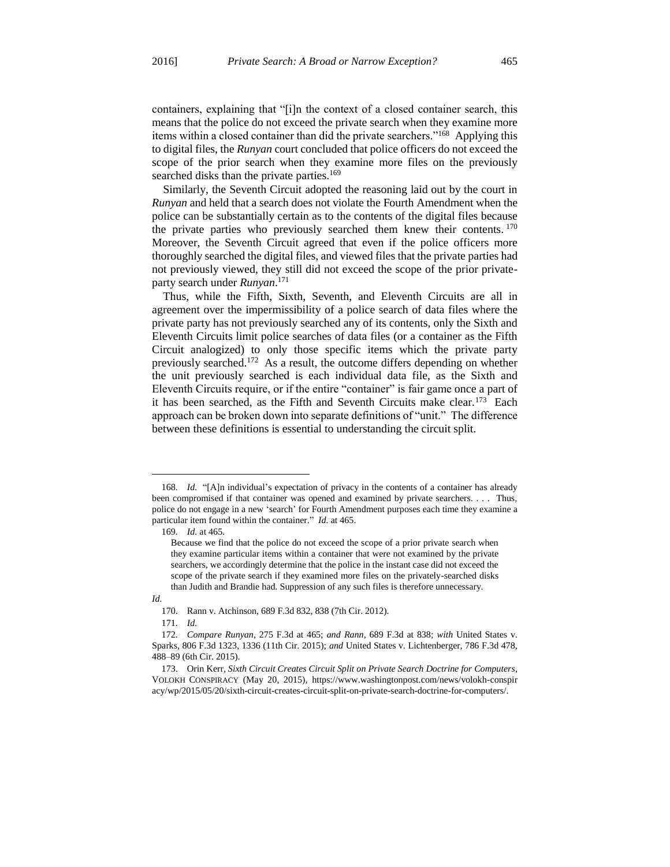containers, explaining that "[i]n the context of a closed container search, this means that the police do not exceed the private search when they examine more items within a closed container than did the private searchers."<sup>168</sup> Applying this to digital files, the *Runyan* court concluded that police officers do not exceed the scope of the prior search when they examine more files on the previously searched disks than the private parties.<sup>169</sup>

Similarly, the Seventh Circuit adopted the reasoning laid out by the court in *Runyan* and held that a search does not violate the Fourth Amendment when the police can be substantially certain as to the contents of the digital files because the private parties who previously searched them knew their contents. <sup>170</sup> Moreover, the Seventh Circuit agreed that even if the police officers more thoroughly searched the digital files, and viewed files that the private parties had not previously viewed, they still did not exceed the scope of the prior privateparty search under *Runyan*. 171

Thus, while the Fifth, Sixth, Seventh, and Eleventh Circuits are all in agreement over the impermissibility of a police search of data files where the private party has not previously searched any of its contents, only the Sixth and Eleventh Circuits limit police searches of data files (or a container as the Fifth Circuit analogized) to only those specific items which the private party previously searched.<sup>172</sup> As a result, the outcome differs depending on whether the unit previously searched is each individual data file, as the Sixth and Eleventh Circuits require, or if the entire "container" is fair game once a part of it has been searched, as the Fifth and Seventh Circuits make clear.<sup>173</sup> Each approach can be broken down into separate definitions of "unit." The difference between these definitions is essential to understanding the circuit split.

<sup>168</sup>*. Id.* "[A]n individual's expectation of privacy in the contents of a container has already been compromised if that container was opened and examined by private searchers. . . . Thus, police do not engage in a new 'search' for Fourth Amendment purposes each time they examine a particular item found within the container." *Id.* at 465.

<sup>169</sup>*. Id.* at 465.

Because we find that the police do not exceed the scope of a prior private search when they examine particular items within a container that were not examined by the private searchers, we accordingly determine that the police in the instant case did not exceed the scope of the private search if they examined more files on the privately-searched disks than Judith and Brandie had. Suppression of any such files is therefore unnecessary.

*Id.*

<sup>170.</sup> Rann v. Atchinson, 689 F.3d 832, 838 (7th Cir. 2012).

<sup>171</sup>*. Id.*

<sup>172</sup>*. Compare Runyan*, 275 F.3d at 465; *and Rann*, 689 F.3d at 838; *with* United States v. Sparks, 806 F.3d 1323, 1336 (11th Cir. 2015); *and* United States v. Lichtenberger, 786 F.3d 478, 488–89 (6th Cir. 2015).

<sup>173.</sup> Orin Kerr, *Sixth Circuit Creates Circuit Split on Private Search Doctrine for Computers*, VOLOKH CONSPIRACY (May 20, 2015), https://www.washingtonpost.com/news/volokh-conspir acy/wp/2015/05/20/sixth-circuit-creates-circuit-split-on-private-search-doctrine-for-computers/.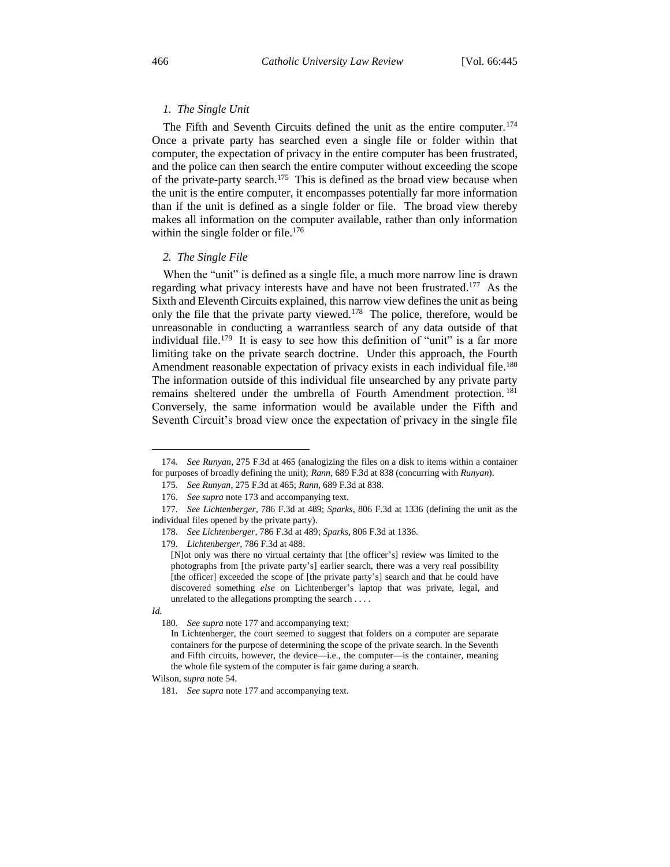#### *1. The Single Unit*

The Fifth and Seventh Circuits defined the unit as the entire computer.<sup>174</sup> Once a private party has searched even a single file or folder within that computer, the expectation of privacy in the entire computer has been frustrated, and the police can then search the entire computer without exceeding the scope of the private-party search.<sup>175</sup> This is defined as the broad view because when the unit is the entire computer, it encompasses potentially far more information than if the unit is defined as a single folder or file. The broad view thereby makes all information on the computer available, rather than only information within the single folder or file.<sup>176</sup>

#### *2. The Single File*

When the "unit" is defined as a single file, a much more narrow line is drawn regarding what privacy interests have and have not been frustrated.<sup>177</sup> As the Sixth and Eleventh Circuits explained, this narrow view defines the unit as being only the file that the private party viewed.<sup>178</sup> The police, therefore, would be unreasonable in conducting a warrantless search of any data outside of that individual file.<sup>179</sup> It is easy to see how this definition of "unit" is a far more limiting take on the private search doctrine. Under this approach, the Fourth Amendment reasonable expectation of privacy exists in each individual file.<sup>180</sup> The information outside of this individual file unsearched by any private party remains sheltered under the umbrella of Fourth Amendment protection. <sup>181</sup> Conversely, the same information would be available under the Fifth and Seventh Circuit's broad view once the expectation of privacy in the single file

179*. Lichtenberger*, 786 F.3d at 488.

<sup>174</sup>*. See Runyan*, 275 F.3d at 465 (analogizing the files on a disk to items within a container for purposes of broadly defining the unit); *Rann*, 689 F.3d at 838 (concurring with *Runyan*).

<sup>175</sup>*. See Runyan*, 275 F.3d at 465; *Rann*, 689 F.3d at 838.

<sup>176</sup>*. See supra* note 173 and accompanying text.

<sup>177</sup>*. See Lichtenberger*, 786 F.3d at 489; *Sparks*, 806 F.3d at 1336 (defining the unit as the individual files opened by the private party).

<sup>178</sup>*. See Lichtenberger*, 786 F.3d at 489; *Sparks*, 806 F.3d at 1336.

<sup>[</sup>N]ot only was there no virtual certainty that [the officer's] review was limited to the photographs from [the private party's] earlier search, there was a very real possibility [the officer] exceeded the scope of [the private party's] search and that he could have discovered something *else* on Lichtenberger's laptop that was private, legal, and unrelated to the allegations prompting the search . . . .

*Id.*

<sup>180</sup>*. See supra* note 177 and accompanying text;

In Lichtenberger, the court seemed to suggest that folders on a computer are separate containers for the purpose of determining the scope of the private search. In the Seventh and Fifth circuits, however, the device—i.e., the computer—is the container, meaning the whole file system of the computer is fair game during a search.

Wilson, *supra* note 54.

<sup>181</sup>*. See supra* note 177 and accompanying text.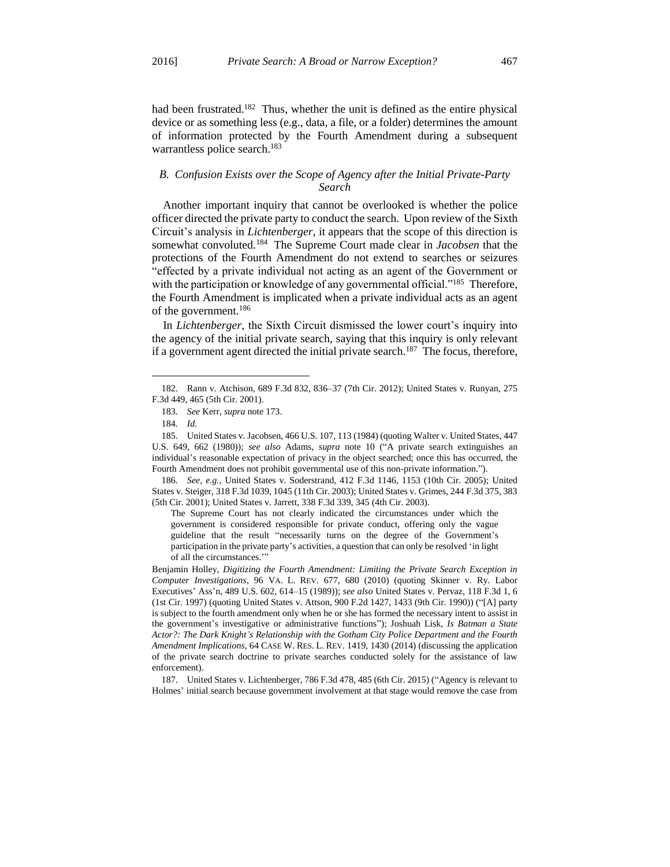had been frustrated.<sup>182</sup> Thus, whether the unit is defined as the entire physical device or as something less (e.g., data, a file, or a folder) determines the amount of information protected by the Fourth Amendment during a subsequent warrantless police search.<sup>183</sup>

# *B. Confusion Exists over the Scope of Agency after the Initial Private-Party Search*

Another important inquiry that cannot be overlooked is whether the police officer directed the private party to conduct the search. Upon review of the Sixth Circuit's analysis in *Lichtenberger*, it appears that the scope of this direction is somewhat convoluted.<sup>184</sup> The Supreme Court made clear in *Jacobsen* that the protections of the Fourth Amendment do not extend to searches or seizures "effected by a private individual not acting as an agent of the Government or with the participation or knowledge of any governmental official."<sup>185</sup> Therefore, the Fourth Amendment is implicated when a private individual acts as an agent of the government.<sup>186</sup>

In *Lichtenberger*, the Sixth Circuit dismissed the lower court's inquiry into the agency of the initial private search, saying that this inquiry is only relevant if a government agent directed the initial private search.<sup>187</sup> The focus, therefore,

 $\overline{a}$ 

186*. See, e.g.*, United States v. Soderstrand, 412 F.3d 1146, 1153 (10th Cir. 2005); United States v. Steiger, 318 F.3d 1039, 1045 (11th Cir. 2003); United States v. Grimes, 244 F.3d 375, 383 (5th Cir. 2001); United States v. Jarrett, 338 F.3d 339, 345 (4th Cir. 2003).

The Supreme Court has not clearly indicated the circumstances under which the government is considered responsible for private conduct, offering only the vague guideline that the result "necessarily turns on the degree of the Government's participation in the private party's activities, a question that can only be resolved 'in light of all the circumstances.'"

Benjamin Holley, *Digitizing the Fourth Amendment: Limiting the Private Search Exception in Computer Investigations*, 96 VA. L. REV. 677, 680 (2010) (quoting Skinner v. Ry. Labor Executives' Ass'n, 489 U.S. 602, 614–15 (1989)); *see also* United States v. Pervaz, 118 F.3d 1, 6 (1st Cir. 1997) (quoting United States v. Attson, 900 F.2d 1427, 1433 (9th Cir. 1990)) ("[A] party is subject to the fourth amendment only when he or she has formed the necessary intent to assist in the government's investigative or administrative functions"); Joshuah Lisk, *Is Batman a State Actor?: The Dark Knight's Relationship with the Gotham City Police Department and the Fourth Amendment Implications*, 64 CASE W. RES. L. REV. 1419, 1430 (2014) (discussing the application of the private search doctrine to private searches conducted solely for the assistance of law enforcement).

187. United States v. Lichtenberger, 786 F.3d 478, 485 (6th Cir. 2015) ("Agency is relevant to Holmes' initial search because government involvement at that stage would remove the case from

<sup>182.</sup> Rann v. Atchison, 689 F.3d 832, 836–37 (7th Cir. 2012); United States v. Runyan, 275 F.3d 449, 465 (5th Cir. 2001).

<sup>183</sup>*. See* Kerr, *supra* note 173.

<sup>184</sup>*. Id.*

<sup>185.</sup> United States v. Jacobsen, 466 U.S. 107, 113 (1984) (quoting Walter v. United States, 447 U.S. 649, 662 (1980)); *see also* Adams, *supra* note 10 ("A private search extinguishes an individual's reasonable expectation of privacy in the object searched; once this has occurred, the Fourth Amendment does not prohibit governmental use of this non-private information.").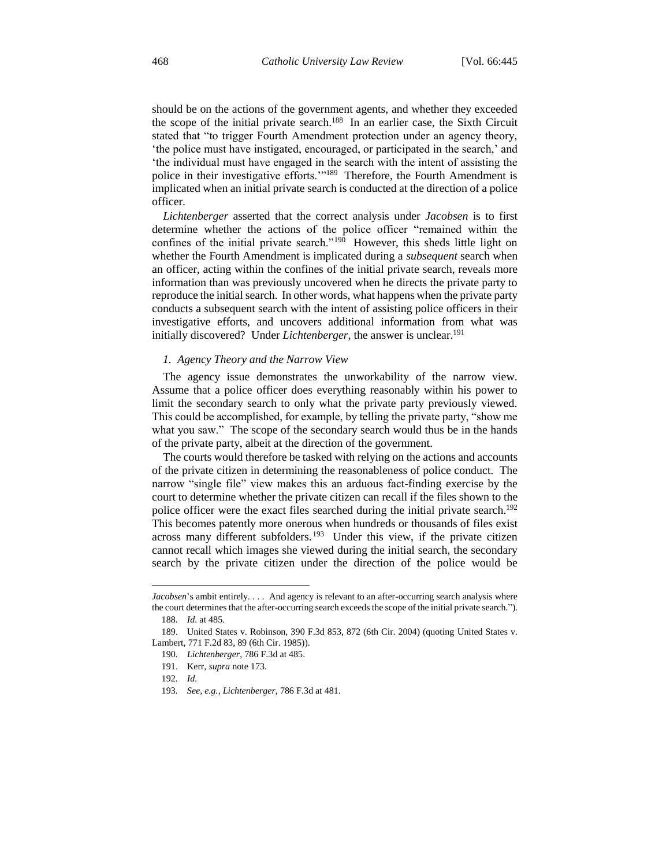should be on the actions of the government agents, and whether they exceeded the scope of the initial private search.<sup>188</sup> In an earlier case, the Sixth Circuit stated that "to trigger Fourth Amendment protection under an agency theory, 'the police must have instigated, encouraged, or participated in the search,' and 'the individual must have engaged in the search with the intent of assisting the police in their investigative efforts."<sup>189</sup> Therefore, the Fourth Amendment is implicated when an initial private search is conducted at the direction of a police officer.

*Lichtenberger* asserted that the correct analysis under *Jacobsen* is to first determine whether the actions of the police officer "remained within the confines of the initial private search."<sup>190</sup> However, this sheds little light on whether the Fourth Amendment is implicated during a *subsequent* search when an officer, acting within the confines of the initial private search, reveals more information than was previously uncovered when he directs the private party to reproduce the initial search. In other words, what happens when the private party conducts a subsequent search with the intent of assisting police officers in their investigative efforts, and uncovers additional information from what was initially discovered? Under *Lichtenberger*, the answer is unclear.<sup>191</sup>

#### *1. Agency Theory and the Narrow View*

The agency issue demonstrates the unworkability of the narrow view. Assume that a police officer does everything reasonably within his power to limit the secondary search to only what the private party previously viewed. This could be accomplished, for example, by telling the private party, "show me what you saw." The scope of the secondary search would thus be in the hands of the private party, albeit at the direction of the government.

The courts would therefore be tasked with relying on the actions and accounts of the private citizen in determining the reasonableness of police conduct. The narrow "single file" view makes this an arduous fact-finding exercise by the court to determine whether the private citizen can recall if the files shown to the police officer were the exact files searched during the initial private search.<sup>192</sup> This becomes patently more onerous when hundreds or thousands of files exist across many different subfolders.<sup>193</sup> Under this view, if the private citizen cannot recall which images she viewed during the initial search, the secondary search by the private citizen under the direction of the police would be

*Jacobsen*'s ambit entirely. . . . And agency is relevant to an after-occurring search analysis where the court determines that the after-occurring search exceeds the scope of the initial private search."). 188*. Id.* at 485.

<sup>189.</sup> United States v. Robinson, 390 F.3d 853, 872 (6th Cir. 2004) (quoting United States v. Lambert, 771 F.2d 83, 89 (6th Cir. 1985)).

<sup>190</sup>*. Lichtenberger*, 786 F.3d at 485.

<sup>191.</sup> Kerr, *supra* note 173.

<sup>192</sup>*. Id.*

<sup>193</sup>*. See, e.g.*, *Lichtenberger*, 786 F.3d at 481.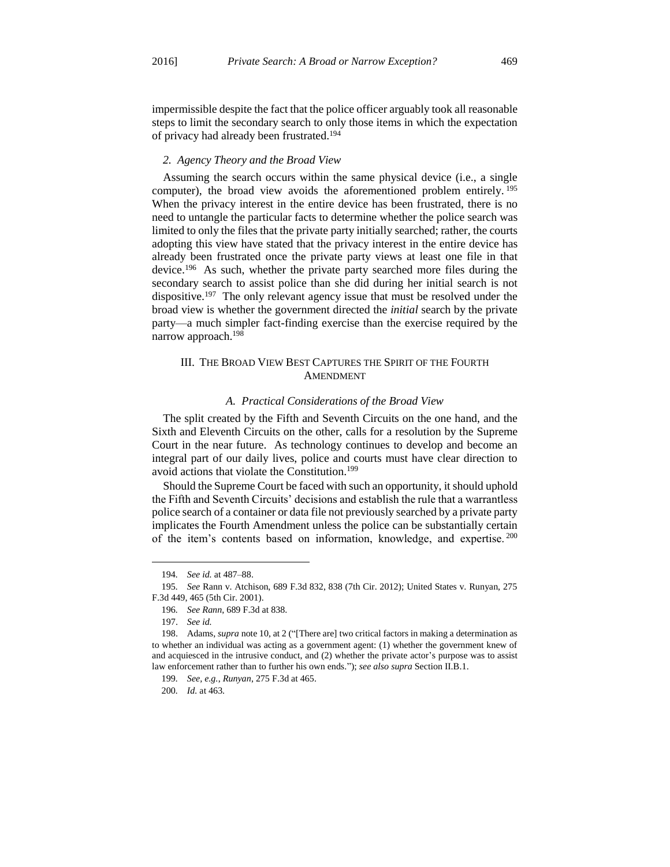impermissible despite the fact that the police officer arguably took all reasonable steps to limit the secondary search to only those items in which the expectation of privacy had already been frustrated.<sup>194</sup>

#### *2. Agency Theory and the Broad View*

Assuming the search occurs within the same physical device (i.e., a single computer), the broad view avoids the aforementioned problem entirely. <sup>195</sup> When the privacy interest in the entire device has been frustrated, there is no need to untangle the particular facts to determine whether the police search was limited to only the files that the private party initially searched; rather, the courts adopting this view have stated that the privacy interest in the entire device has already been frustrated once the private party views at least one file in that device.<sup>196</sup> As such, whether the private party searched more files during the secondary search to assist police than she did during her initial search is not dispositive.<sup>197</sup> The only relevant agency issue that must be resolved under the broad view is whether the government directed the *initial* search by the private party—a much simpler fact-finding exercise than the exercise required by the narrow approach.<sup>198</sup>

# III. THE BROAD VIEW BEST CAPTURES THE SPIRIT OF THE FOURTH AMENDMENT

#### *A. Practical Considerations of the Broad View*

The split created by the Fifth and Seventh Circuits on the one hand, and the Sixth and Eleventh Circuits on the other, calls for a resolution by the Supreme Court in the near future. As technology continues to develop and become an integral part of our daily lives, police and courts must have clear direction to avoid actions that violate the Constitution.<sup>199</sup>

Should the Supreme Court be faced with such an opportunity, it should uphold the Fifth and Seventh Circuits' decisions and establish the rule that a warrantless police search of a container or data file not previously searched by a private party implicates the Fourth Amendment unless the police can be substantially certain of the item's contents based on information, knowledge, and expertise. <sup>200</sup>

<sup>194</sup>*. See id.* at 487–88.

<sup>195</sup>*. See* Rann v. Atchison, 689 F.3d 832, 838 (7th Cir. 2012); United States v. Runyan, 275 F.3d 449, 465 (5th Cir. 2001).

<sup>196</sup>*. See Rann*, 689 F.3d at 838.

<sup>197.</sup> *See id.*

<sup>198.</sup> Adams, *supra* note 10, at 2 ("[There are] two critical factors in making a determination as to whether an individual was acting as a government agent: (1) whether the government knew of and acquiesced in the intrusive conduct, and (2) whether the private actor's purpose was to assist law enforcement rather than to further his own ends."); *see also supra* Section II.B.1.

<sup>199</sup>*. See, e.g.*, *Runyan*, 275 F.3d at 465.

<sup>200</sup>*. Id.* at 463.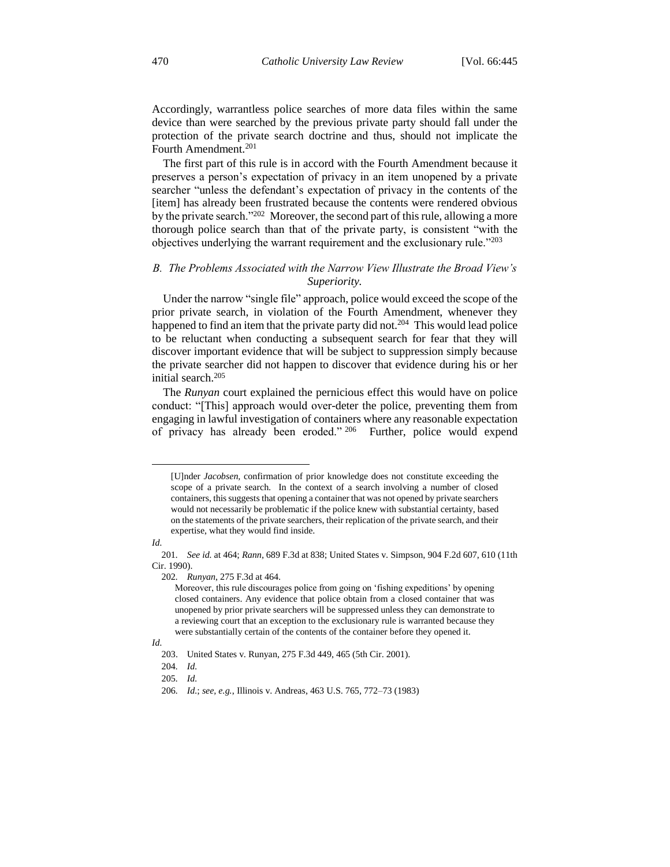Accordingly, warrantless police searches of more data files within the same device than were searched by the previous private party should fall under the protection of the private search doctrine and thus, should not implicate the Fourth Amendment.<sup>201</sup>

The first part of this rule is in accord with the Fourth Amendment because it preserves a person's expectation of privacy in an item unopened by a private searcher "unless the defendant's expectation of privacy in the contents of the [item] has already been frustrated because the contents were rendered obvious by the private search."<sup>202</sup> Moreover, the second part of this rule, allowing a more thorough police search than that of the private party, is consistent "with the objectives underlying the warrant requirement and the exclusionary rule."<sup>203</sup>

# *B. The Problems Associated with the Narrow View Illustrate the Broad View's Superiority.*

Under the narrow "single file" approach, police would exceed the scope of the prior private search, in violation of the Fourth Amendment, whenever they happened to find an item that the private party did not.<sup>204</sup> This would lead police to be reluctant when conducting a subsequent search for fear that they will discover important evidence that will be subject to suppression simply because the private searcher did not happen to discover that evidence during his or her initial search.<sup>205</sup>

The *Runyan* court explained the pernicious effect this would have on police conduct: "[This] approach would over-deter the police, preventing them from engaging in lawful investigation of containers where any reasonable expectation of privacy has already been eroded." 206 Further, police would expend

<sup>[</sup>U]nder *Jacobsen,* confirmation of prior knowledge does not constitute exceeding the scope of a private search. In the context of a search involving a number of closed containers, this suggests that opening a container that was not opened by private searchers would not necessarily be problematic if the police knew with substantial certainty, based on the statements of the private searchers, their replication of the private search, and their expertise, what they would find inside.

*Id.*

<sup>201</sup>*. See id.* at 464; *Rann*, 689 F.3d at 838; United States v. Simpson, 904 F.2d 607, 610 (11th Cir. 1990).

<sup>202</sup>*. Runyan*, 275 F.3d at 464.

Moreover, this rule discourages police from going on 'fishing expeditions' by opening closed containers. Any evidence that police obtain from a closed container that was unopened by prior private searchers will be suppressed unless they can demonstrate to a reviewing court that an exception to the exclusionary rule is warranted because they were substantially certain of the contents of the container before they opened it.

*Id.*

<sup>203.</sup> United States v. Runyan, 275 F.3d 449, 465 (5th Cir. 2001).

<sup>204</sup>*. Id.*

<sup>205</sup>*. Id.*

<sup>206</sup>*. Id.*; *see, e.g.*, Illinois v. Andreas, 463 U.S. 765, 772–73 (1983)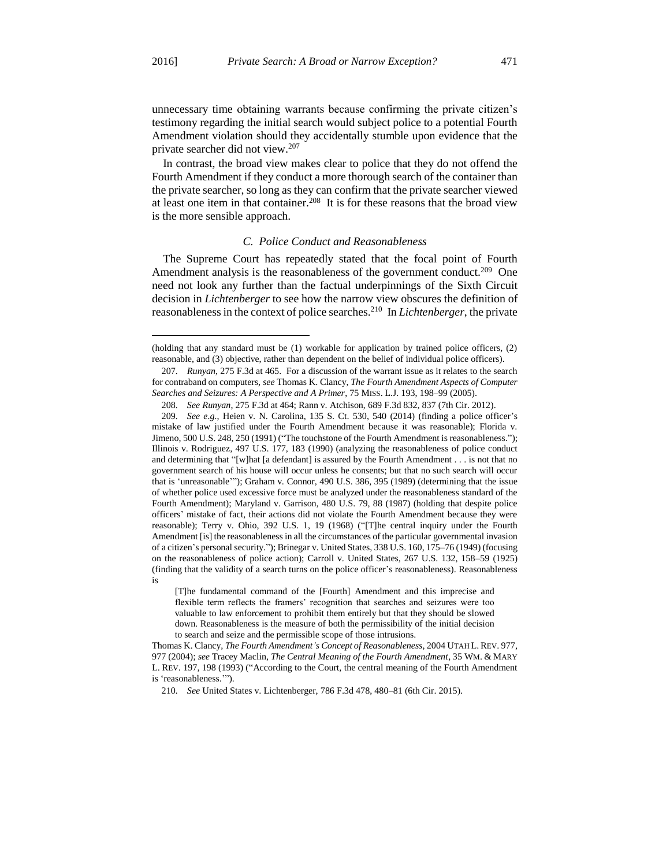$\overline{a}$ 

unnecessary time obtaining warrants because confirming the private citizen's testimony regarding the initial search would subject police to a potential Fourth Amendment violation should they accidentally stumble upon evidence that the private searcher did not view.<sup>207</sup>

In contrast, the broad view makes clear to police that they do not offend the Fourth Amendment if they conduct a more thorough search of the container than the private searcher, so long as they can confirm that the private searcher viewed at least one item in that container.<sup>208</sup> It is for these reasons that the broad view is the more sensible approach.

### *C. Police Conduct and Reasonableness*

The Supreme Court has repeatedly stated that the focal point of Fourth Amendment analysis is the reasonableness of the government conduct.<sup>209</sup> One need not look any further than the factual underpinnings of the Sixth Circuit decision in *Lichtenberger* to see how the narrow view obscures the definition of reasonableness in the context of police searches.<sup>210</sup> In *Lichtenberger*, the private

<sup>(</sup>holding that any standard must be (1) workable for application by trained police officers, (2) reasonable, and (3) objective, rather than dependent on the belief of individual police officers).

<sup>207</sup>*. Runyan*, 275 F.3d at 465. For a discussion of the warrant issue as it relates to the search for contraband on computers, *see* Thomas K. Clancy, *The Fourth Amendment Aspects of Computer Searches and Seizures: A Perspective and A Primer*, 75 MISS. L.J. 193, 198–99 (2005).

<sup>208</sup>*. See Runyan*, 275 F.3d at 464; Rann v. Atchison, 689 F.3d 832, 837 (7th Cir. 2012).

<sup>209</sup>*. See e.g.*, Heien v. N. Carolina, 135 S. Ct. 530, 540 (2014) (finding a police officer's mistake of law justified under the Fourth Amendment because it was reasonable); Florida v. Jimeno, 500 U.S. 248, 250 (1991) ("The touchstone of the Fourth Amendment is reasonableness."); Illinois v. Rodriguez, 497 U.S. 177, 183 (1990) (analyzing the reasonableness of police conduct and determining that "[w]hat [a defendant] is assured by the Fourth Amendment . . . is not that no government search of his house will occur unless he consents; but that no such search will occur that is 'unreasonable'"); Graham v. Connor, 490 U.S. 386, 395 (1989) (determining that the issue of whether police used excessive force must be analyzed under the reasonableness standard of the Fourth Amendment); Maryland v. Garrison, 480 U.S. 79, 88 (1987) (holding that despite police officers' mistake of fact, their actions did not violate the Fourth Amendment because they were reasonable); Terry v. Ohio, 392 U.S. 1, 19 (1968) ("[T]he central inquiry under the Fourth Amendment [is] the reasonableness in all the circumstances of the particular governmental invasion of a citizen's personal security."); Brinegar v. United States, 338 U.S. 160, 175–76 (1949) (focusing on the reasonableness of police action); Carroll v. United States, 267 U.S. 132, 158–59 (1925) (finding that the validity of a search turns on the police officer's reasonableness). Reasonableness is

<sup>[</sup>T]he fundamental command of the [Fourth] Amendment and this imprecise and flexible term reflects the framers' recognition that searches and seizures were too valuable to law enforcement to prohibit them entirely but that they should be slowed down. Reasonableness is the measure of both the permissibility of the initial decision to search and seize and the permissible scope of those intrusions.

Thomas K. Clancy, *The Fourth Amendment's Concept of Reasonableness*, 2004 UTAH L. REV. 977, 977 (2004); *see* Tracey Maclin, *The Central Meaning of the Fourth Amendment*, 35 WM. & MARY L. REV. 197, 198 (1993) ("According to the Court, the central meaning of the Fourth Amendment is 'reasonableness.'").

<sup>210</sup>*. See* United States v. Lichtenberger, 786 F.3d 478, 480–81 (6th Cir. 2015).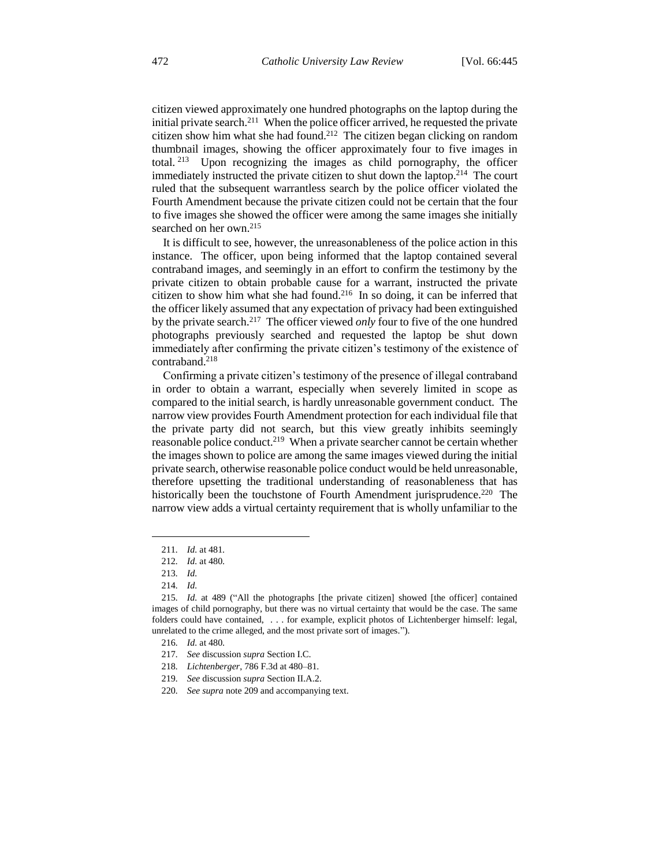citizen viewed approximately one hundred photographs on the laptop during the initial private search.<sup>211</sup> When the police officer arrived, he requested the private citizen show him what she had found.<sup>212</sup> The citizen began clicking on random thumbnail images, showing the officer approximately four to five images in total.<sup>213</sup> Upon recognizing the images as child pornography, the officer immediately instructed the private citizen to shut down the laptop.<sup>214</sup> The court ruled that the subsequent warrantless search by the police officer violated the Fourth Amendment because the private citizen could not be certain that the four to five images she showed the officer were among the same images she initially searched on her own.<sup>215</sup>

It is difficult to see, however, the unreasonableness of the police action in this instance. The officer, upon being informed that the laptop contained several contraband images, and seemingly in an effort to confirm the testimony by the private citizen to obtain probable cause for a warrant, instructed the private citizen to show him what she had found.<sup>216</sup> In so doing, it can be inferred that the officer likely assumed that any expectation of privacy had been extinguished by the private search.<sup>217</sup> The officer viewed *only* four to five of the one hundred photographs previously searched and requested the laptop be shut down immediately after confirming the private citizen's testimony of the existence of contraband.<sup>218</sup>

Confirming a private citizen's testimony of the presence of illegal contraband in order to obtain a warrant, especially when severely limited in scope as compared to the initial search, is hardly unreasonable government conduct. The narrow view provides Fourth Amendment protection for each individual file that the private party did not search, but this view greatly inhibits seemingly reasonable police conduct.<sup>219</sup> When a private searcher cannot be certain whether the images shown to police are among the same images viewed during the initial private search, otherwise reasonable police conduct would be held unreasonable, therefore upsetting the traditional understanding of reasonableness that has historically been the touchstone of Fourth Amendment jurisprudence.<sup>220</sup> The narrow view adds a virtual certainty requirement that is wholly unfamiliar to the

<sup>211</sup>*. Id.* at 481.

<sup>212</sup>*. Id.* at 480.

<sup>213</sup>*. Id.*

<sup>214</sup>*. Id.*

<sup>215</sup>*. Id.* at 489 ("All the photographs [the private citizen] showed [the officer] contained images of child pornography, but there was no virtual certainty that would be the case. The same folders could have contained, . . . for example, explicit photos of Lichtenberger himself: legal, unrelated to the crime alleged, and the most private sort of images.").

<sup>216</sup>*. Id.* at 480.

<sup>217</sup>*. See* discussion *supra* Section I.C.

<sup>218</sup>*. Lichtenberger*, 786 F.3d at 480–81.

<sup>219</sup>*. See* discussion *supra* Section II.A.2.

<sup>220</sup>*. See supra* note 209 and accompanying text.